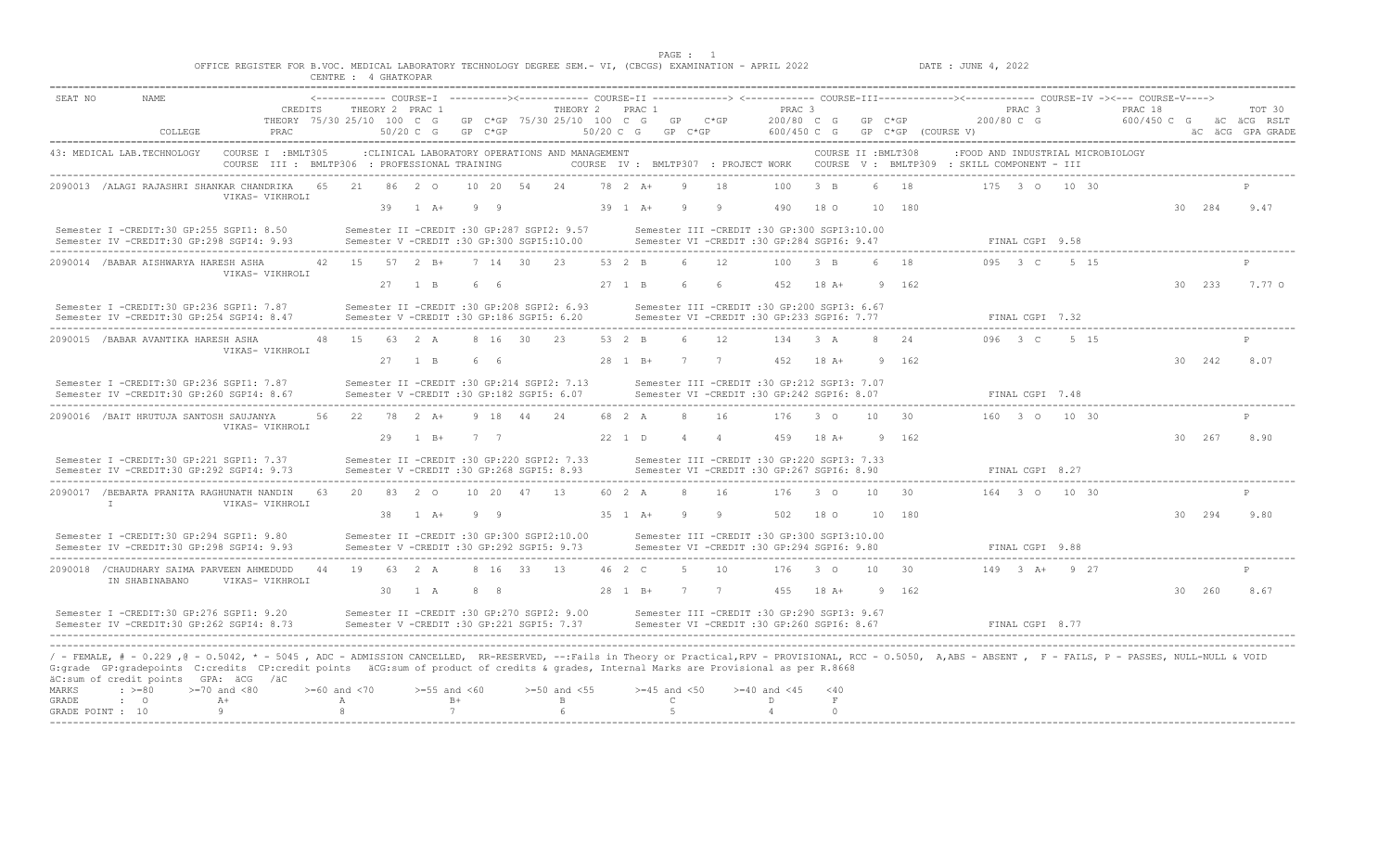|                                    |                                         | OFFICE REGISTER FOR B.VOC. MEDICAL LABORATORY TECHNOLOGY DEGREE SEM. - VI, (CBCGS) EXAMINATION - APRIL 2022                                                                                                                                                                                                                                                                                                                        |    | CENTRE : 4 GHATKOPAR                  |    |                                                                                                    |                  |            |    |                                                |                          | PAGE : 1                               |                      |                      |                                                                                                  |                            |                     |                    | DATE : JUNE 4, 2022                                                                                                                                         |                                 |                 |                        |        |                                           |
|------------------------------------|-----------------------------------------|------------------------------------------------------------------------------------------------------------------------------------------------------------------------------------------------------------------------------------------------------------------------------------------------------------------------------------------------------------------------------------------------------------------------------------|----|---------------------------------------|----|----------------------------------------------------------------------------------------------------|------------------|------------|----|------------------------------------------------|--------------------------|----------------------------------------|----------------------|----------------------|--------------------------------------------------------------------------------------------------|----------------------------|---------------------|--------------------|-------------------------------------------------------------------------------------------------------------------------------------------------------------|---------------------------------|-----------------|------------------------|--------|-------------------------------------------|
| SEAT NO                            | <b>NAME</b><br>COLLEGE                  | CREDITS<br>THEORY 75/30 25/10 100 C G<br>PRAC                                                                                                                                                                                                                                                                                                                                                                                      |    |                                       |    | THEORY 2 PRAC 1<br>$50/20$ C G                                                                     | GP C*GP          |            |    | THEORY 2 PRAC 1<br>GP C*GP 75/30 25/10 100 C G | $50/20$ C G              | GP<br>GP C*GP                          |                      | $C*GP$               | PRAC <sub>3</sub><br>200/80 C G<br>600/450 C G                                                   |                            | $GP$ $C*GP$         | GP C*GP (COURSE V) | <------------- COURSE-I ----------><------------ COURSE-II -------------> <------------ COURSE-III-------------><----------- COURSE-IV -><--- COURSE-V----> | PRAC <sub>3</sub><br>200/80 C G |                 | PRAC 18<br>600/450 C G |        | TOT 30<br>äC äCG RSLT<br>äC äCG GPA GRADE |
|                                    | 43: MEDICAL LAB.TECHNOLOGY              | COURSE I : BMLT305<br>COURSE III : BMLTP306 : PROFESSIONAL TRAINING                                                                                                                                                                                                                                                                                                                                                                |    |                                       |    | : CLINICAL LABORATORY OPERATIONS AND MANAGEMENT                                                    |                  |            |    |                                                |                          |                                        |                      |                      |                                                                                                  |                            | COURSE II : BMLT308 |                    | :FOOD AND INDUSTRIAL MICROBIOLOGY<br>COURSE IV : BMLTP307 : PROJECT WORK COURSE V : BMLTP309 : SKILL COMPONENT - III                                        |                                 |                 |                        |        |                                           |
|                                    |                                         | 2090013 /ALAGI RAJASHRI SHANKAR CHANDRIKA<br>VIKAS- VIKHROLI                                                                                                                                                                                                                                                                                                                                                                       | 65 | 2.1                                   | 39 | 86 2 0<br>$1 \overline{A}$ +                                                                       | $10 \t 20$<br>99 |            | 54 | 2.4                                            | $78$ 2 A+                | 39 1 A+                                | <sup>9</sup>         | 18<br><sup>Q</sup>   | 100<br>490                                                                                       | $\beta$ B<br>18 O          |                     | 1 R<br>10 180      |                                                                                                                                                             |                                 | 175 3 0 10 30   |                        | 30 284 | 9.47                                      |
|                                    |                                         | Semester I -CREDIT:30 GP:255 SGPI1: 8.50<br>Semester IV -CREDIT:30 GP:298 SGPI4: 9.93                                                                                                                                                                                                                                                                                                                                              |    |                                       |    | Semester II -CREDIT :30 GP:287 SGPI2: 9.57<br>Semester V -CREDIT :30 GP:300 SGPI5:10.00            |                  |            |    |                                                |                          |                                        |                      |                      | Semester III -CREDIT :30 GP:300 SGPI3:10.00<br>Semester VI -CREDIT :30 GP:284 SGPI6: 9.47        |                            |                     |                    |                                                                                                                                                             | FINAL CGPI 9.58                 |                 |                        |        |                                           |
|                                    | 2090014 / BABAR AISHWARYA HARESH ASHA   | VIKAS- VIKHROLI                                                                                                                                                                                                                                                                                                                                                                                                                    |    | 42 15 57 2 B+                         | 27 | $1 \quad B$                                                                                        | 66               | 7 14 30 23 |    |                                                | $53 \t 2 \t B$<br>27 1 B |                                        | 6<br>6               | 12<br>6              | 100<br>452                                                                                       | $-3$ B<br>$18A+$           | $\kappa$<br>9       | 18<br>162          |                                                                                                                                                             | $0.95 \t3 C$                    | 5 15            |                        | 30 233 | 7.77 0                                    |
|                                    |                                         | Semester I -CREDIT:30 GP:236 SGPI1: 7.87<br>Semester IV -CREDIT:30 GP:254 SGPI4: 8.47                                                                                                                                                                                                                                                                                                                                              |    |                                       |    | Semester II -CREDIT :30 GP:208 SGPI2: 6.93<br>Semester V -CREDIT :30 GP:186 SGPI5: 6.20            |                  |            |    |                                                |                          |                                        |                      |                      | Semester III -CREDIT :30 GP:200 SGPI3: 6.67<br>Semester VI -CREDIT :30 GP:233 SGPI6: 7.77        |                            |                     |                    |                                                                                                                                                             | FINAL CGPI 7.32                 |                 |                        |        |                                           |
|                                    | 2090015 / BABAR AVANTIKA HARESH ASHA    | VIKAS- VIKHROLI                                                                                                                                                                                                                                                                                                                                                                                                                    | 48 | 15                                    |    | 63 2 A                                                                                             |                  | 8 16 30    |    | 23                                             | 53 2 B                   |                                        | 6                    | 12                   | 134                                                                                              | $3 \overline{A}$           | $\mathcal{R}$       | 24                 |                                                                                                                                                             | 096 3 C                         | 5 15            |                        |        |                                           |
|                                    |                                         | Semester I -CREDIT:30 GP:236 SGPI1: 7.87<br>Semester IV -CREDIT:30 GP:260 SGPI4: 8.67                                                                                                                                                                                                                                                                                                                                              |    |                                       |    | 27 1 B<br>Semester II -CREDIT :30 GP:214 SGPI2: 7.13<br>Semester V -CREDIT :30 GP:182 SGPI5: 6.07  | 66               |            |    |                                                |                          | 28 1 B+                                |                      | 7 7                  | 452<br>Semester III -CREDIT :30 GP:212 SGPI3: 7.07<br>Semester VI -CREDIT :30 GP:242 SGPI6: 8.07 | $18A+$                     |                     | 9 162              |                                                                                                                                                             | FINAL CGPI 7.48                 |                 |                        | 30 242 | 8.07                                      |
|                                    | 2090016 / BAIT HRUTUJA SANTOSH SAUJANYA | VIKAS- VIKHROLI                                                                                                                                                                                                                                                                                                                                                                                                                    | 56 |                                       |    | 22 78 2 A+<br>29 1 B+                                                                              | 7 7              | 9 18 44    |    | 2.4                                            | 68 2 A<br>22 1 D         |                                        | -8<br>$\overline{4}$ | 16<br>$\overline{4}$ | 176<br>459                                                                                       | $3^{\circ}$ 0<br>$18A+$    | 10 <sup>1</sup>     | 30<br>9 162        |                                                                                                                                                             |                                 | 160 3 0 10 30   |                        | 30 267 | 8.90                                      |
|                                    |                                         | Semester I -CREDIT:30 GP:221 SGPI1: 7.37<br>Semester IV -CREDIT:30 GP:292 SGPI4: 9.73                                                                                                                                                                                                                                                                                                                                              |    |                                       |    | Semester II -CREDIT :30 GP:220 SGPI2: 7.33<br>Semester V -CREDIT :30 GP:268 SGPI5: 8.93            |                  |            |    |                                                |                          |                                        |                      |                      | Semester III -CREDIT :30 GP:220 SGPI3: 7.33<br>Semester VI -CREDIT :30 GP:267 SGPI6: 8.90        |                            |                     |                    |                                                                                                                                                             | FINAL CGPI 8.27                 |                 |                        |        |                                           |
|                                    | $\mathbb{I}$                            | 2090017 /BEBARTA PRANITA RAGHUNATH NANDIN<br>VIKAS- VIKHROLI                                                                                                                                                                                                                                                                                                                                                                       | 63 | 20                                    |    | 83 2 0                                                                                             | 10, 20           |            | 47 | 13                                             | 60 2 A                   |                                        | $\mathcal{R}$        | 16                   | 176                                                                                              | $\overline{3}$ 0           | 10 <sup>1</sup>     | 30                 |                                                                                                                                                             |                                 | 164 3 0 10 30   |                        |        |                                           |
|                                    |                                         | Semester I -CREDIT:30 GP:294 SGPI1: 9.80<br>Semester IV -CREDIT:30 GP:298 SGPI4: 9.93                                                                                                                                                                                                                                                                                                                                              |    |                                       |    | 38 1 A+<br>Semester II -CREDIT :30 GP:300 SGPI2:10.00<br>Semester V -CREDIT :30 GP:292 SGPI5: 9.73 | 99               |            |    |                                                |                          | 35 1 A+                                | <b>q</b>             | - 9                  | 502<br>Semester III -CREDIT :30 GP:300 SGPI3:10.00<br>Semester VI -CREDIT :30 GP:294 SGPI6: 9.80 | 180                        |                     | 10 180             |                                                                                                                                                             | FINAL CGPI 9.88                 |                 |                        | 30 294 | 9.80                                      |
|                                    | IN SHABINABANO                          | 2090018 / CHAUDHARY SAIMA PARVEEN AHMEDUDD<br>VIKAS- VIKHROLI                                                                                                                                                                                                                                                                                                                                                                      | 44 | 19                                    |    | 63 2 A                                                                                             |                  | 8 16 33 13 |    |                                                | 46 2 C                   |                                        | -5                   | 10                   | 176                                                                                              | $3^{\circ}$                | 10                  | 30                 |                                                                                                                                                             |                                 | $149$ 3 A+ 9 27 |                        |        |                                           |
|                                    |                                         | Semester I -CREDIT:30 GP:276 SGPI1: 9.20<br>Semester IV -CREDIT:30 GP:262 SGPI4: 8.73                                                                                                                                                                                                                                                                                                                                              |    |                                       |    | 30 1 A<br>Semester II -CREDIT :30 GP:270 SGPI2: 9.00<br>Semester V -CREDIT :30 GP:221 SGPI5: 7.37  | 8 8              |            |    |                                                | 28 1 B+                  | 7                                      |                      | 7                    | 455<br>Semester III -CREDIT :30 GP:290 SGPI3: 9.67<br>Semester VI -CREDIT :30 GP:260 SGPI6: 8.67 | $18 A+$                    |                     | 9 162              |                                                                                                                                                             | FINAL CGPI 8.77                 |                 |                        | 30 260 | 8.67                                      |
| MARKS<br>GRADE<br>GRADE POINT : 10 | $\div$ >=80<br>$\cdot$ 0                | / - FEMALE, # - 0.229 ,0 - 0.5042, * - 5045 , ADC - ADMISSION CANCELLED, RR-RESERVED, --:Fails in Theory or Practical,RPV - PROVISIONAL, RCC - 0.5050, A,ABS - ABSENT , F - FAILS, P - PASSES, NULL-NULL & VOID<br>G:grade GP:gradepoints C:credits CP:credit points äCG:sum of product of credits & grades, Internal Marks are Provisional as per R.8668<br>äC:sum of credit points GPA: äCG /äC<br>$>=70$ and $<80$<br>$A+$<br>9 |    | $>=60$ and $<70$<br>$\mathbb{A}$<br>8 |    | $>=55$ and $<60$<br>7                                                                              | $B+$             |            |    | $>=50$ and $<55$<br>B                          |                          | $>=45$ and $<50$<br>$\mathbb{C}$<br>-5 |                      |                      | $>= 40$ and $< 45$<br>D<br>$\overline{4}$                                                        | < 40<br>$\,$ F<br>$\Omega$ |                     |                    |                                                                                                                                                             |                                 |                 |                        |        |                                           |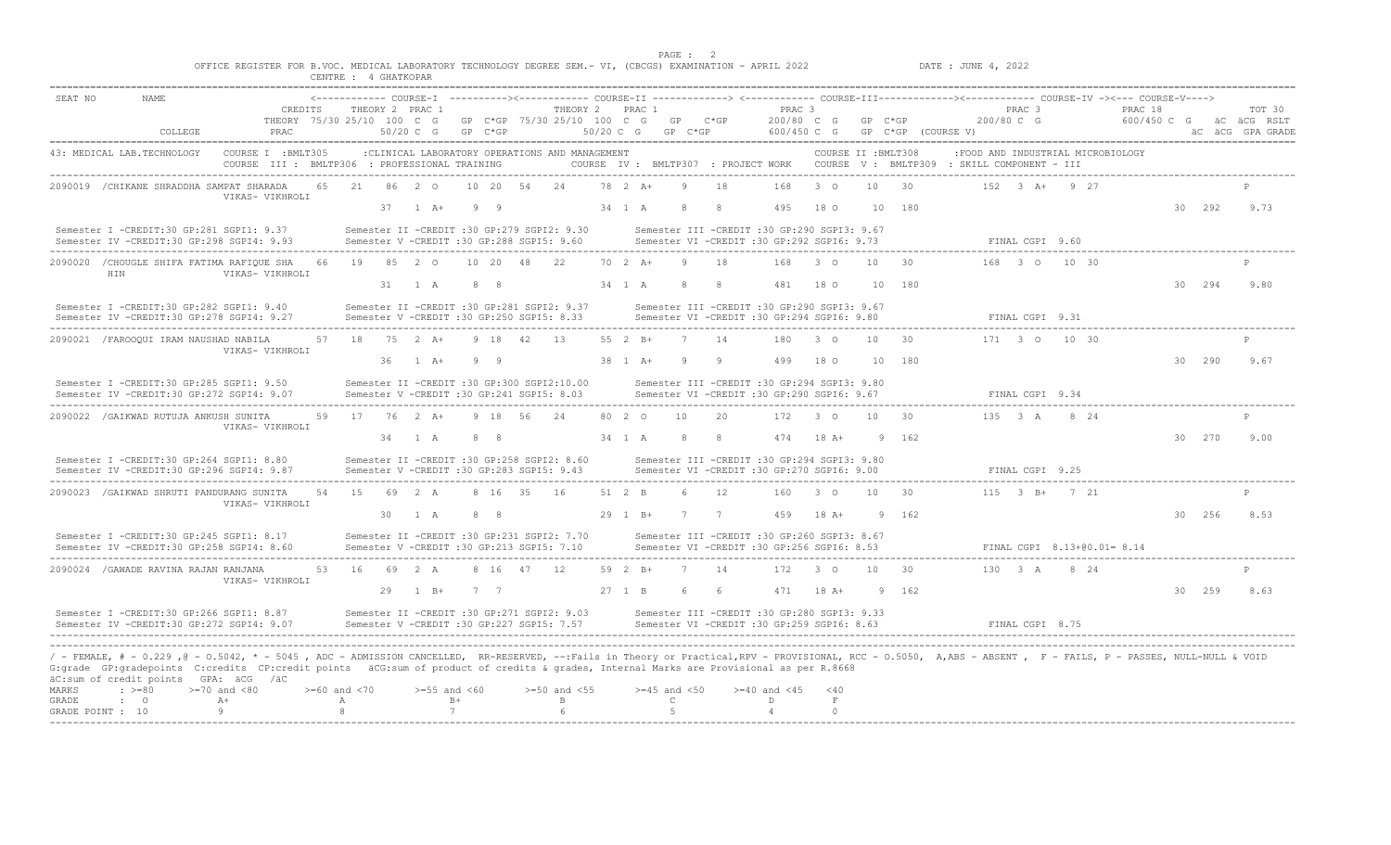PAGE : 2 OFFICE REGISTER FOR B.VOC. MEDICAL LABORATORY TECHNOLOGY DEGREE SEM.- VI, (CBCGS) EXAMINATION - APRIL 2022 DATE : JUNE 4, 2022

|                  |                                                                                                                                                                                                                                                                                                                                                                                                                            |                                                                     |    | CENTRE : 4 GHATKOPAR               |      |                                           |                 |                |                                                 |             |                      |                                  |             |           |                                                                                              |                          |                     |                    |                                                                                                                                                             |                                 |                                   |         |        |                                                       |
|------------------|----------------------------------------------------------------------------------------------------------------------------------------------------------------------------------------------------------------------------------------------------------------------------------------------------------------------------------------------------------------------------------------------------------------------------|---------------------------------------------------------------------|----|------------------------------------|------|-------------------------------------------|-----------------|----------------|-------------------------------------------------|-------------|----------------------|----------------------------------|-------------|-----------|----------------------------------------------------------------------------------------------|--------------------------|---------------------|--------------------|-------------------------------------------------------------------------------------------------------------------------------------------------------------|---------------------------------|-----------------------------------|---------|--------|-------------------------------------------------------|
| SEAT NO          | <b>NAME</b>                                                                                                                                                                                                                                                                                                                                                                                                                |                                                                     |    |                                    |      |                                           |                 |                |                                                 |             |                      |                                  |             |           |                                                                                              |                          |                     |                    | <------------- COURSE-I ----------><------------ COURSE-II -------------> <------------ COURSE-III-------------><----------- COURSE-IV -><--- COURSE-V----> |                                 |                                   |         |        |                                                       |
|                  | COLLEGE                                                                                                                                                                                                                                                                                                                                                                                                                    | CREDITS<br>THEORY 75/30 25/10 100 C G<br><b>PRAC</b>                |    |                                    |      | THEORY 2 PRAC 1<br>50/20 C G              |                 | $GP$ $C*GP$    | THEORY 2 PRAC 1<br>GP C*GP 75/30 25/10 100 C G  | $50/20$ C G |                      | GP                               | $GP$ $C*GP$ | $C*GP$    | PRAC <sub>3</sub><br>200/80 C G<br>600/450 C G                                               |                          | $GP$ $C*GP$         | GP C*GP (COURSE V) |                                                                                                                                                             | PRAC <sub>3</sub><br>200/80 C G |                                   | PRAC 18 |        | TOT 30<br>600/450 C G aC aCG RSLT<br>äC äCG GPA GRADE |
|                  | 43: MEDICAL LAB.TECHNOLOGY                                                                                                                                                                                                                                                                                                                                                                                                 | COURSE I : BMLT305<br>COURSE III : BMLTP306 : PROFESSIONAL TRAINING |    |                                    |      |                                           |                 |                | : CLINICAL LABORATORY OPERATIONS AND MANAGEMENT |             |                      |                                  |             |           |                                                                                              |                          | COURSE II : BMLT308 |                    | COURSE IV: BMLTP307 : PROJECT WORK COURSE V: BMLTP309 : SKILL COMPONENT - III                                                                               |                                 | :FOOD AND INDUSTRIAL MICROBIOLOGY |         |        |                                                       |
|                  | 2090019 / CHIKANE SHRADDHA SAMPAT SHARADA                                                                                                                                                                                                                                                                                                                                                                                  | VIKAS- VIKHROLI                                                     | 65 | 21                                 |      | 86 2 0                                    |                 | 10 20 54       | 24                                              |             | 78 2 A+              |                                  |             | 18        | 168                                                                                          | 3 <sub>0</sub>           | 10                  | 30                 |                                                                                                                                                             |                                 | 152 3 A+ 9 27                     |         |        |                                                       |
|                  | Semester I -CREDIT:30 GP:281 SGPI1: 9.37                                                                                                                                                                                                                                                                                                                                                                                   |                                                                     |    |                                    |      | $37 \t1 \tA+$                             |                 | 99             | Semester II -CREDIT :30 GP:279 SGPI2: 9.30      |             | 34 1 A               |                                  | -8          | -8        | 495<br>Semester III -CREDIT :30 GP:290 SGPI3: 9.67                                           | 18 0                     |                     | 10 180             |                                                                                                                                                             |                                 |                                   |         | 30 292 | 9.73                                                  |
|                  | Semester IV -CREDIT:30 GP:298 SGPI4: 9.93                                                                                                                                                                                                                                                                                                                                                                                  |                                                                     |    |                                    |      | Semester V -CREDIT :30 GP:288 SGPI5: 9.60 |                 |                |                                                 |             |                      |                                  |             |           | Semester VI -CREDIT :30 GP:292 SGPI6: 9.73                                                   |                          |                     |                    |                                                                                                                                                             | FINAL CGPI 9.60                 |                                   |         |        |                                                       |
|                  | 2090020 / CHOUGLE SHIFA FATIMA RAFIQUE SHA<br>HIN                                                                                                                                                                                                                                                                                                                                                                          | VIKAS- VIKHROLI                                                     | 66 | 19                                 |      | 85 2 0<br>31 1 A                          |                 | 10 20 48<br>88 | 22.                                             |             | 70 2 A+<br>34 1 A    |                                  | -9<br>-8    | 18<br>- 8 | 168<br>481                                                                                   | $\overline{3}$ 0<br>18 0 | 10 <sup>1</sup>     | 30<br>10 180       |                                                                                                                                                             |                                 | 168 3 0 10 30                     |         | 30 294 | 9.80                                                  |
|                  | Semester I -CREDIT:30 GP:282 SGPI1: 9.40<br>Semester IV -CREDIT:30 GP:278 SGPI4: 9.27                                                                                                                                                                                                                                                                                                                                      |                                                                     |    |                                    |      | Semester V -CREDIT :30 GP:250 SGPI5: 8.33 |                 |                | Semester II -CREDIT :30 GP:281 SGPI2: 9.37      |             |                      |                                  |             |           | Semester III -CREDIT :30 GP:290 SGPI3: 9.67<br>Semester VI - CREDIT : 30 GP: 294 SGPI6: 9.80 |                          |                     |                    |                                                                                                                                                             | FINAL CGPI 9.31                 |                                   |         |        |                                                       |
|                  | 2090021 / FAROOQUI IRAM NAUSHAD NABILA                                                                                                                                                                                                                                                                                                                                                                                     |                                                                     |    |                                    |      | 57 18 75 2 A+                             |                 | 9 18 42        | 13                                              |             | 55 2 B+              |                                  | - 7         | - 14      | 180                                                                                          | $\beta$ 0                | 10 <sup>1</sup>     | 3 Q                |                                                                                                                                                             |                                 | 171 3 0 10 30                     |         |        |                                                       |
|                  |                                                                                                                                                                                                                                                                                                                                                                                                                            | VIKAS- VIKHROLI                                                     |    |                                    | -36- | $1 \overline{A}$                          |                 | $Q \cup Q$     |                                                 |             | $38 \t1 \tA+$        |                                  | <b>Q</b>    | $\alpha$  | 499                                                                                          | 18 O                     | 10                  | 180                |                                                                                                                                                             |                                 |                                   |         | 30 290 | 9.67                                                  |
|                  | Semester I -CREDIT:30 GP:285 SGPI1: 9.50<br>Semester IV -CREDIT:30 GP:272 SGPI4: 9.07                                                                                                                                                                                                                                                                                                                                      |                                                                     |    |                                    |      | Semester V -CREDIT :30 GP:241 SGPI5: 8.03 |                 |                | Semester II -CREDIT :30 GP:300 SGPI2:10.00      |             |                      |                                  |             |           | Semester III - CREDIT : 30 GP: 294 SGPI3: 9.80<br>Semester VI -CREDIT :30 GP:290 SGPI6: 9.67 |                          |                     |                    |                                                                                                                                                             | FINAL CGPI 9.34                 |                                   |         |        |                                                       |
|                  | 2090022 / GAIKWAD RUTUJA ANKUSH SUNITA                                                                                                                                                                                                                                                                                                                                                                                     |                                                                     |    |                                    |      | 59 17 76 2 A+                             |                 | 9 18 56        | 2.4                                             |             | 80 2 0               |                                  | 10          | 20        | 172                                                                                          | $\sim$ 3 0               | 10 <sup>1</sup>     | 30                 |                                                                                                                                                             |                                 | 135 3 A 8 24                      |         |        |                                                       |
|                  |                                                                                                                                                                                                                                                                                                                                                                                                                            | VIKAS- VIKHROLI                                                     |    |                                    |      | 34 1 A                                    |                 | 88             |                                                 |             | 34 1 A               |                                  | -8          | -8        | 474                                                                                          | $18A+$                   |                     | 9 162              |                                                                                                                                                             |                                 |                                   |         | 30 270 | 9.00                                                  |
|                  | Semester I -CREDIT:30 GP:264 SGPI1: 8.80<br>Semester IV -CREDIT:30 GP:296 SGPI4: 9.87                                                                                                                                                                                                                                                                                                                                      |                                                                     |    |                                    |      | Semester V -CREDIT :30 GP:283 SGPI5: 9.43 |                 |                | Semester II -CREDIT :30 GP:258 SGPI2: 8.60      |             |                      |                                  |             |           | Semester III -CREDIT :30 GP:294 SGPI3: 9.80<br>Semester VI -CREDIT :30 GP:270 SGPI6: 9.00    |                          |                     |                    |                                                                                                                                                             | FINAL CGPI 9.25                 |                                   |         |        |                                                       |
|                  | 2090023 / GAIKWAD SHRUTI PANDURANG SUNITA                                                                                                                                                                                                                                                                                                                                                                                  | VIKAS- VIKHROLI                                                     | 54 | 15                                 |      | 69 2 A                                    |                 | 8 16 35        | - 16                                            |             | 51 2 B               |                                  | 6           | 12        | 160                                                                                          | $3^{\circ}$              | 10 <sup>1</sup>     | 30                 |                                                                                                                                                             |                                 | $115$ $3$ $B+$ $7$ $21$           |         |        |                                                       |
|                  |                                                                                                                                                                                                                                                                                                                                                                                                                            |                                                                     |    |                                    |      | 30 1 A                                    |                 | 88             |                                                 |             | 29 1 B+              |                                  | 7 7         |           | 459                                                                                          | $18A+$                   |                     | 9 162              |                                                                                                                                                             |                                 |                                   |         | 30 256 | 8.53                                                  |
|                  | Semester I -CREDIT:30 GP:245 SGPI1: 8.17<br>Semester IV -CREDIT:30 GP:258 SGPI4: 8.60                                                                                                                                                                                                                                                                                                                                      |                                                                     |    |                                    |      | Semester V -CREDIT :30 GP:213 SGPI5: 7.10 |                 |                | Semester II -CREDIT :30 GP:231 SGPI2: 7.70      |             |                      |                                  |             |           | Semester III -CREDIT :30 GP:260 SGPI3: 8.67<br>Semester VI -CREDIT :30 GP:256 SGPI6: 8.53    |                          |                     |                    |                                                                                                                                                             |                                 | FINAL CGPI 8.13+00.01= 8.14       |         |        |                                                       |
|                  | 2090024 / GAWADE RAVINA RAJAN RANJANA                                                                                                                                                                                                                                                                                                                                                                                      | VIKAS- VIKHROLI                                                     |    |                                    |      | 53 16 69 2 A                              |                 | 8 16 47        | 12                                              |             | 59 2 B+              |                                  | 7           | 14        | 172 3 0                                                                                      |                          | 10                  | 30                 |                                                                                                                                                             |                                 | 130 3 A 8 24                      |         |        |                                                       |
|                  |                                                                                                                                                                                                                                                                                                                                                                                                                            |                                                                     |    |                                    |      | 29 1 B+                                   |                 | 7 7            |                                                 |             | $27 \quad 1 \quad B$ |                                  | 6           | - 6       |                                                                                              | 471 18 A+                |                     | 9 162              |                                                                                                                                                             |                                 |                                   |         | 30 259 | 8.63                                                  |
|                  | Semester I -CREDIT:30 GP:266 SGPI1: 8.87<br>Semester IV -CREDIT:30 GP:272 SGPI4: 9.07                                                                                                                                                                                                                                                                                                                                      |                                                                     |    |                                    |      | Semester V -CREDIT :30 GP:227 SGPI5: 7.57 |                 |                | Semester II -CREDIT :30 GP:271 SGPI2: 9.03      |             |                      |                                  |             |           | Semester III -CREDIT :30 GP:280 SGPI3: 9.33<br>Semester VI -CREDIT :30 GP:259 SGPI6: 8.63    |                          |                     |                    |                                                                                                                                                             | FINAL CGPI 8.75                 |                                   |         |        |                                                       |
| MARKS<br>GRADE   | / - FEMALE, # - 0.229 ,0 - 0.5042, * - 5045 , ADC - ADMISSION CANCELLED, RR-RESERVED, --:Fails in Theory or Practical,RPV - PROVISIONAL, RCC - 0.5050, A,ABS - ABSENT , F - FAILS, P - PASSES, NULL-NULL & VOID<br>G:grade GP:gradepoints C:credits CP:credit points äCG:sum of product of credits & grades, Internal Marks are Provisional as per R.8668<br>äC:sum of credit points GPA: äCG /äC<br>$: >=80$<br>$\cdot$ 0 | $>=70$ and $<80$<br>$A+$                                            |    | $>= 60$ and $< 70$<br>$\mathbb{A}$ |      | $>=55$ and $<60$                          | $B+$            |                | $>=50$ and $<55$<br>B                           |             |                      | $>=45$ and $<50$<br>$\mathsf{C}$ |             |           | $>= 40$ and $< 45$<br>D                                                                      | < 40<br>$\,$ F           |                     |                    |                                                                                                                                                             |                                 |                                   |         |        |                                                       |
| GRADE POINT : 10 |                                                                                                                                                                                                                                                                                                                                                                                                                            | 9                                                                   |    | 8                                  |      |                                           | $7\overline{ }$ |                |                                                 |             |                      | 5                                |             |           | $\overline{4}$                                                                               | $\Omega$                 |                     |                    |                                                                                                                                                             |                                 |                                   |         |        |                                                       |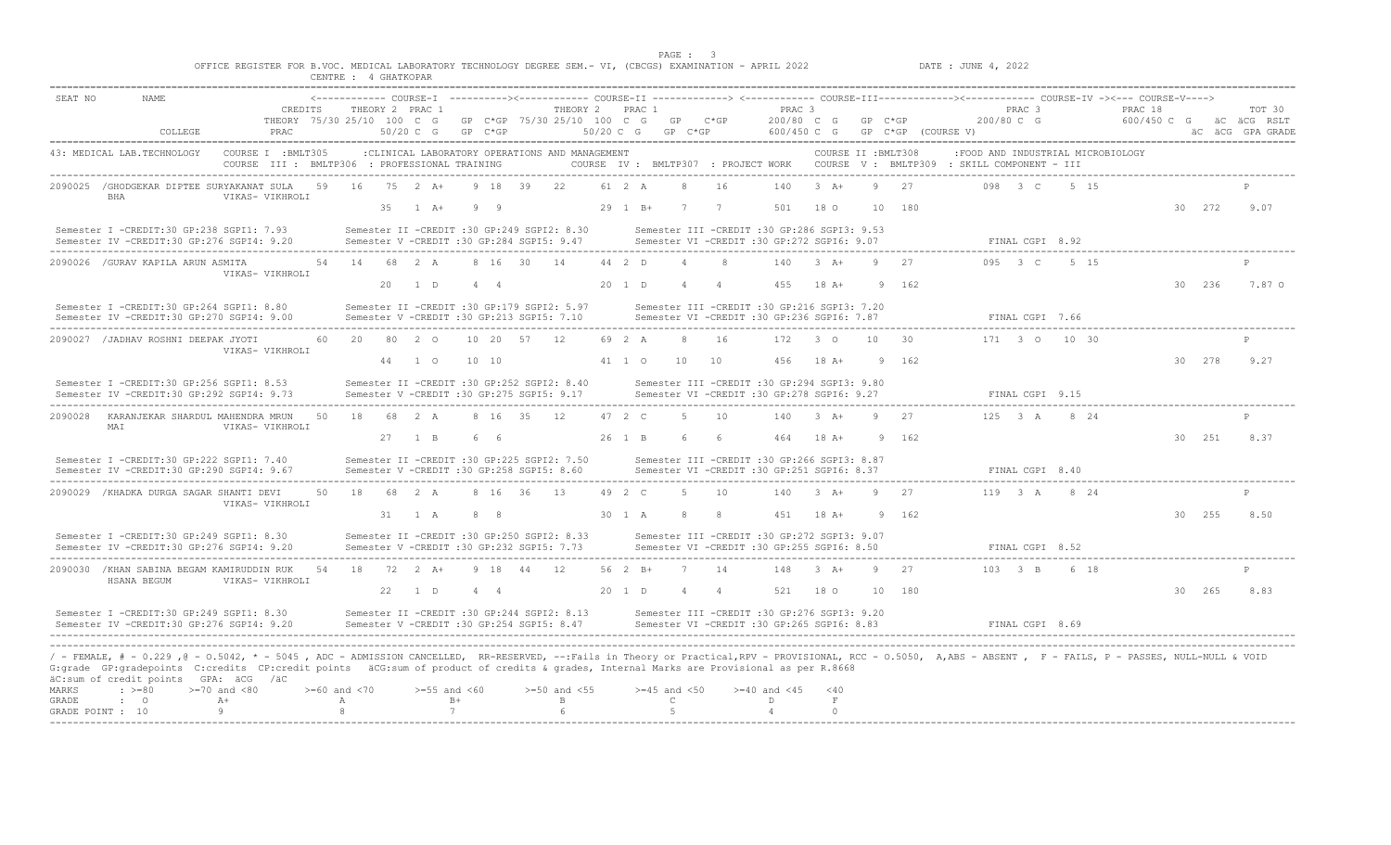|                                    |                                                                                                                                                                                                                                                                                                                                                                                                                               |         |                               |                                                                     |    | CENTRE : 4 GHATKOPAR       |    |                                                                                                   |           |                |            |                                                |                   | PAGE : 3                               |                | OFFICE REGISTER FOR B.VOC. MEDICAL LABORATORY TECHNOLOGY DEGREE SEM. - VI, (CBCGS) EXAMINATION - APRIL 2022 |                         |                     |              | DATE : JUNE 4, 2022                                                                                                                                                               |                                 |      |         |        |                                                       |
|------------------------------------|-------------------------------------------------------------------------------------------------------------------------------------------------------------------------------------------------------------------------------------------------------------------------------------------------------------------------------------------------------------------------------------------------------------------------------|---------|-------------------------------|---------------------------------------------------------------------|----|----------------------------|----|---------------------------------------------------------------------------------------------------|-----------|----------------|------------|------------------------------------------------|-------------------|----------------------------------------|----------------|-------------------------------------------------------------------------------------------------------------|-------------------------|---------------------|--------------|-----------------------------------------------------------------------------------------------------------------------------------------------------------------------------------|---------------------------------|------|---------|--------|-------------------------------------------------------|
| SEAT NO                            | <b>NAME</b>                                                                                                                                                                                                                                                                                                                                                                                                                   | COLLEGE |                               | CREDITS<br>THEORY 75/30 25/10 100 C G<br>PRAC                       |    |                            |    | THEORY 2 PRAC 1<br>$50/20$ C G                                                                    | GP C*GP   |                |            | THEORY 2 PRAC 1<br>GP C*GP 75/30 25/10 100 C G | $50/20$ C G       | GP C*GP                                | GP C*GP        | PRAC <sub>3</sub><br>200/80 C G<br>600/450 C G                                                              |                         | $GP$ $C*GP$         |              | <------------- COURSE-I ----------><------------ COURSE-II -------------> <------------ COURSE-III-------------><----------- COURSE-IV -><--- COURSE-V----><br>GP C*GP (COURSE V) | PRAC <sub>3</sub><br>200/80 C G |      | PRAC 18 |        | TOT 30<br>600/450 C G aC aCG RSLT<br>äC äCG GPA GRADE |
|                                    | 43: MEDICAL LAB.TECHNOLOGY                                                                                                                                                                                                                                                                                                                                                                                                    |         |                               | COURSE I : BMLT305<br>COURSE III : BMLTP306 : PROFESSIONAL TRAINING |    |                            |    | :CLINICAL LABORATORY OPERATIONS AND MANAGEMENT                                                    |           |                |            |                                                |                   |                                        |                |                                                                                                             |                         | COURSE II : BMLT308 |              | :FOOD AND INDUSTRIAL MICROBIOLOGY<br>COURSE IV : BMLTP307 : PROJECT WORK COURSE V : BMLTP309 : SKILL COMPONENT - III                                                              |                                 |      |         |        |                                                       |
|                                    | 2090025 / GHODGEKAR DIPTEE SURYAKANAT SULA<br>BHA                                                                                                                                                                                                                                                                                                                                                                             |         |                               | VIKAS- VIKHROLI                                                     | 59 | 16                         | 35 | $75 \t2 \tA+$<br>$1 \overline{A}$ +                                                               |           | 9 18 39<br>99  |            | 22.                                            | 61 2 A<br>29 1 B+ | $\mathcal{R}$<br>7                     | 16<br>7        | 140<br>501                                                                                                  | $3 + 4$<br>18 0         |                     | 27<br>10 180 |                                                                                                                                                                                   | 098 3 C                         | 5 15 |         | 30 272 | 9.07                                                  |
|                                    | Semester I -CREDIT:30 GP:238 SGPI1: 7.93<br>Semester IV -CREDIT:30 GP:276 SGPI4: 9.20                                                                                                                                                                                                                                                                                                                                         |         |                               |                                                                     |    |                            |    | Semester II -CREDIT :30 GP:249 SGPI2: 8.30<br>Semester V -CREDIT :30 GP:284 SGPI5: 9.47           |           |                |            |                                                |                   |                                        |                | Semester III -CREDIT :30 GP:286 SGPI3: 9.53<br>Semester VI -CREDIT :30 GP:272 SGPI6: 9.07                   |                         |                     |              |                                                                                                                                                                                   | FINAL CGPI 8.92                 |      |         |        |                                                       |
|                                    | 2090026 / GURAV KAPILA ARUN ASMITA                                                                                                                                                                                                                                                                                                                                                                                            |         |                               | VIKAS- VIKHROLI                                                     |    |                            | 20 | 54 14 68 2 A<br>1 D                                                                               |           | $4\quad 4$     | 8 16 30 14 |                                                | 44 2 D<br>20 1 D  | $\overline{4}$<br>$\overline{4}$       | $\overline{4}$ | 140<br>455                                                                                                  | $3+A+$<br>$18A+$        | 9                   | 27<br>162    |                                                                                                                                                                                   | $0.95 \t 3 \t C$                | 5 15 |         | 30 236 | 7.87 0                                                |
|                                    | Semester I -CREDIT:30 GP:264 SGPI1: 8.80<br>Semester IV -CREDIT:30 GP:270 SGPI4: 9.00                                                                                                                                                                                                                                                                                                                                         |         |                               |                                                                     |    |                            |    | Semester II -CREDIT :30 GP:179 SGPI2: 5.97<br>Semester V -CREDIT :30 GP:213 SGPI5: 7.10           |           |                |            |                                                |                   |                                        |                | Semester III -CREDIT :30 GP:216 SGPI3: 7.20<br>Semester VI -CREDIT :30 GP:236 SGPI6: 7.87                   |                         |                     |              |                                                                                                                                                                                   | FINAL CGPI 7.66                 |      |         |        |                                                       |
|                                    | 2090027 / JADHAV ROSHNI DEEPAK JYOTI                                                                                                                                                                                                                                                                                                                                                                                          |         |                               | VIKAS- VIKHROLI                                                     | 60 | 20                         |    | 80 2 0<br>44 1 0                                                                                  | 10 10     | 10 20 57       |            | 12                                             | 69 2 A<br>41 1 0  | 8<br>10                                | 16<br>10       | 172<br>456                                                                                                  | $3^{\circ}$<br>$18A+$   | 10 <sup>°</sup>     | 30<br>9 162  |                                                                                                                                                                                   | 171 3 0 10 30                   |      |         | 30 278 | 9.27                                                  |
|                                    | Semester I -CREDIT:30 GP:256 SGPI1: 8.53<br>Semester IV -CREDIT:30 GP:292 SGPI4: 9.73                                                                                                                                                                                                                                                                                                                                         |         |                               |                                                                     |    |                            |    | Semester II -CREDIT :30 GP:252 SGPI2: 8.40<br>Semester V -CREDIT :30 GP:275 SGPI5: 9.17           |           |                |            |                                                |                   |                                        |                | Semester III -CREDIT :30 GP:294 SGPI3: 9.80<br>Semester VI -CREDIT :30 GP:278 SGPI6: 9.27                   |                         |                     |              |                                                                                                                                                                                   | FINAL CGPI 9.15                 |      |         |        |                                                       |
| 2090028                            | KARANJEKAR SHARDUL MAHENDRA MRUN<br>MAI                                                                                                                                                                                                                                                                                                                                                                                       |         | VIKAS- VIKHROLI               |                                                                     | 50 | 18                         |    | 68 2 A<br>27 1 B                                                                                  |           | 8 16 35<br>6 6 |            | 12                                             | 47 2 C<br>26 1 B  | -5<br>-6                               | 10<br>- 6      | 140<br>464                                                                                                  | $3 + 4$<br>18 A+        |                     | 27<br>9 162  |                                                                                                                                                                                   | $125$ 3 A                       | 8 24 |         | 30 251 | 8.37                                                  |
|                                    | Semester I -CREDIT:30 GP:222 SGPI1: 7.40<br>Semester IV -CREDIT:30 GP:290 SGPI4: 9.67                                                                                                                                                                                                                                                                                                                                         |         |                               |                                                                     |    |                            |    | Semester II -CREDIT :30 GP:225 SGPI2: 7.50<br>Semester V -CREDIT :30 GP:258 SGPI5: 8.60           |           |                |            |                                                |                   |                                        |                | Semester III -CREDIT :30 GP:266 SGPI3: 8.87<br>Semester VI -CREDIT :30 GP:251 SGPI6: 8.37                   |                         |                     |              |                                                                                                                                                                                   | FINAL CGPI 8.40                 |      |         |        |                                                       |
|                                    | 2090029 /KHADKA DURGA SAGAR SHANTI DEVI                                                                                                                                                                                                                                                                                                                                                                                       |         |                               | VIKAS- VIKHROLI                                                     | 50 | 18                         |    | 68 2 A                                                                                            |           | 8 16 36        |            | 13                                             | 49 2 C            | -5                                     | 10             | 140                                                                                                         | $3+A+$                  | Q                   | 27           |                                                                                                                                                                                   | 119 3 A 8 24                    |      |         |        |                                                       |
|                                    | Semester I -CREDIT:30 GP:249 SGPI1: 8.30<br>Semester IV -CREDIT:30 GP:276 SGPI4: 9.20                                                                                                                                                                                                                                                                                                                                         |         |                               |                                                                     |    |                            |    | 31 1 A<br>Semester II -CREDIT :30 GP:250 SGPI2: 8.33<br>Semester V -CREDIT :30 GP:232 SGPI5: 7.73 |           | 88             |            |                                                | 30 1 A            | -8                                     | - 8            | Semester III -CREDIT :30 GP:272 SGPI3: 9.07<br>Semester VI -CREDIT :30 GP:255 SGPI6: 8.50                   | 451 18 A+               |                     | 9 162        |                                                                                                                                                                                   | FINAL CGPI 8.52                 |      |         | 30 255 | 8.50                                                  |
|                                    | 2090030 /KHAN SABINA BEGAM KAMIRUDDIN RUK<br>HSANA BEGUM                                                                                                                                                                                                                                                                                                                                                                      |         |                               | VIKAS- VIKHROLI                                                     |    |                            |    | 54 18 72 2 A+                                                                                     |           |                | 9 18 44 12 |                                                | 56 2 B+           | $\overline{7}$                         | 14             | 148                                                                                                         | $3+A+$                  | $\alpha$            | 27           |                                                                                                                                                                                   | 103 3 B 6 18                    |      |         |        |                                                       |
|                                    | Semester I -CREDIT:30 GP:249 SGPI1: 8.30<br>Semester IV -CREDIT:30 GP:276 SGPI4: 9.20                                                                                                                                                                                                                                                                                                                                         |         |                               |                                                                     |    |                            |    | 22 1 D<br>Semester II -CREDIT :30 GP:244 SGPI2: 8.13<br>Semester V -CREDIT :30 GP:254 SGPI5: 8.47 |           | 4 4            |            |                                                | 20 1 D            | $\overline{4}$                         | $\overline{4}$ | 521<br>Semester III -CREDIT :30 GP:276 SGPI3: 9.20<br>Semester VI -CREDIT :30 GP:265 SGPT6: 8.83            | 18 0                    |                     | 10 180       |                                                                                                                                                                                   | FINAL CGPI 8.69                 |      |         | 30 265 | 8.83                                                  |
| MARKS<br>GRADE<br>GRADE POINT : 10 | / - FEMALE, # - 0.229 ,0 - 0.5042, * - 5045 , ADC - ADMISSION CANCELLED, RR-RESERVED, --:Fails in Theory or Practical,RPV - PROVISIONAL, RCC - 0.5050, A,ABS - ABSENT , F - FAILS, P - PASSES, NULL-NULL & VOID<br>G:grade GP:gradepoints C:credits CP:credit points äCG:sum of product of credits & grades, Internal Marks are Provisional as per R.8668<br>äC:sum of credit points GPA: äCG /äC<br>$\div$ >=80<br>$\cdot$ 0 |         | $>=70$ and $<80$<br>$A+$<br>9 |                                                                     |    | $>=60$ and $<70$<br>A<br>8 |    | $>=55$ and $<60$                                                                                  | $B+$<br>7 |                |            | $>=50$ and $<55$<br>B                          |                   | $>=45$ and $<50$<br>$\mathbb{C}$<br>-5 |                | $>= 40$ and $< 45$<br>D<br>$\overline{4}$                                                                   | $<$ 40<br>F<br>$\Omega$ |                     |              |                                                                                                                                                                                   |                                 |      |         |        |                                                       |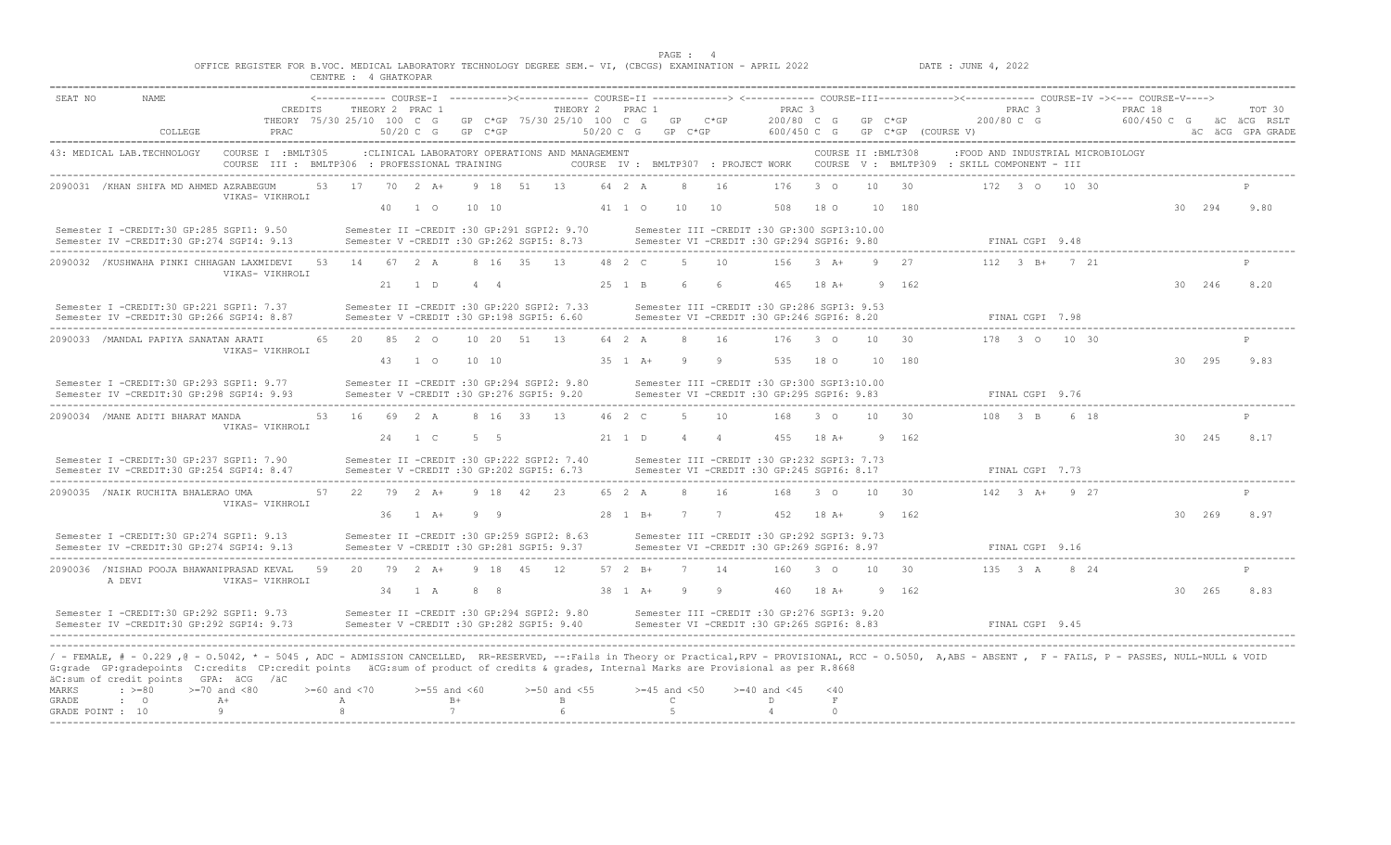|                                    |                                                                                                                                                                                                                                                                                                                                                                                                                                        |                       | OFFICE REGISTER FOR B.VOC. MEDICAL LABORATORY TECHNOLOGY DEGREE SEM.- VI, (CBCGS) EXAMINATION - APRIL 2022 |                                       | CENTRE : 4 GHATKOPAR         |    |                                |                  |             |                                                                                         |                                |                    | PAGE: 4                                   |                |                                                                                           |                             |                       |                    | DATE : JUNE 4, 2022                                                             |                                 |                                   |                                                                                                                                                                        |        |                                                       |
|------------------------------------|----------------------------------------------------------------------------------------------------------------------------------------------------------------------------------------------------------------------------------------------------------------------------------------------------------------------------------------------------------------------------------------------------------------------------------------|-----------------------|------------------------------------------------------------------------------------------------------------|---------------------------------------|------------------------------|----|--------------------------------|------------------|-------------|-----------------------------------------------------------------------------------------|--------------------------------|--------------------|-------------------------------------------|----------------|-------------------------------------------------------------------------------------------|-----------------------------|-----------------------|--------------------|---------------------------------------------------------------------------------|---------------------------------|-----------------------------------|------------------------------------------------------------------------------------------------------------------------------------------------------------------------|--------|-------------------------------------------------------|
| SEAT NO                            | <b>NAME</b>                                                                                                                                                                                                                                                                                                                                                                                                                            | COLLEGE               | PRAC                                                                                                       | CREDITS<br>THEORY 75/30 25/10 100 C G |                              |    | THEORY 2 PRAC 1<br>$50/20$ C G | GP C*GP          |             | GP C*GP 75/30 25/10 100 C G                                                             | THEORY 2 PRAC 1<br>$50/20$ C G |                    | GP C*GP<br>GP C*GP                        |                | PRAC 3<br>200/80 C G<br>600/450 C G                                                       |                             | GP C*GP               | GP C*GP (COURSE V) |                                                                                 | PRAC <sub>3</sub><br>200/80 C G |                                   | <------------- COURSE-I ----------><------------ COURSE-II -------------> <------------ COURSE-III-------------><----------- COURSE-IV -><--- COURSE-V----><br>PRAC 18 |        | TOT 30<br>600/450 C G aC aCG RSLT<br>äC äCG GPA GRADE |
|                                    | 43: MEDICAL LAB.TECHNOLOGY                                                                                                                                                                                                                                                                                                                                                                                                             |                       | COURSE I : BMLT305<br>COURSE III : BMLTP306 : PROFESSIONAL TRAINING                                        |                                       |                              |    |                                |                  |             | : CLINICAL LABORATORY OPERATIONS AND MANAGEMENT                                         |                                |                    |                                           |                |                                                                                           |                             | COURSE II : BMLT308   |                    | COURSE IV : BMLTP307 : PROJECT WORK COURSE V : BMLTP309 : SKILL COMPONENT - III |                                 | :FOOD AND INDUSTRIAL MICROBIOLOGY |                                                                                                                                                                        |        |                                                       |
|                                    | 2090031 / KHAN SHIFA MD AHMED AZRABEGUM                                                                                                                                                                                                                                                                                                                                                                                                |                       | VIKAS- VIKHROLI                                                                                            | 53                                    | 17                           | 40 | $70 \t 2 \t A+$<br>$1 \circ$   | 10, 10           | 9 18 51     | 13                                                                                      |                                | 64 2 A<br>41 1 0   | 8<br>10                                   | 16<br>10       | 176<br>508                                                                                | $3^{\circ}$ 0<br>18 0       | 10 <sup>°</sup><br>10 | 30<br>180          |                                                                                 |                                 | 172 3 0 10 30                     |                                                                                                                                                                        | 30 294 | 9.80                                                  |
|                                    | Semester I -CREDIT:30 GP:285 SGPI1: 9.50<br>Semester IV -CREDIT:30 GP:274 SGPI4: 9.13                                                                                                                                                                                                                                                                                                                                                  |                       |                                                                                                            |                                       |                              |    |                                |                  |             | Semester II -CREDIT :30 GP:291 SGPI2: 9.70<br>Semester V -CREDIT :30 GP:262 SGPI5: 8.73 |                                |                    |                                           |                | Semester III -CREDIT :30 GP:300 SGPI3:10.00<br>Semester VI -CREDIT :30 GP:294 SGPI6: 9.80 |                             |                       |                    |                                                                                 | FINAL CGPI 9.48                 |                                   |                                                                                                                                                                        |        |                                                       |
|                                    | 2090032 /KUSHWAHA PINKI CHHAGAN LAXMIDEVI                                                                                                                                                                                                                                                                                                                                                                                              |                       | VIKAS- VIKHROLI                                                                                            |                                       | 53 14 67 2 A                 |    | 21 1 D                         | $4\quad 4$       | 8 16 35 13  |                                                                                         |                                | 48 2 C<br>25 1 B   | -5<br>-6                                  | 10<br>- 6      | 156<br>465                                                                                | $3+A+$<br>$18A+$            | Q<br>9                | 27<br>162          |                                                                                 |                                 | $112 \t3 B+721$                   |                                                                                                                                                                        | 30 246 | 8.20                                                  |
|                                    | Semester I -CREDIT:30 GP:221 SGPI1: 7.37<br>Semester IV -CREDIT:30 GP:266 SGPI4: 8.87                                                                                                                                                                                                                                                                                                                                                  |                       |                                                                                                            |                                       |                              |    |                                |                  |             | Semester II -CREDIT :30 GP:220 SGPI2: 7.33<br>Semester V -CREDIT :30 GP:198 SGPI5: 6.60 |                                |                    |                                           |                | Semester III -CREDIT :30 GP:286 SGPI3: 9.53<br>Semester VI -CREDIT :30 GP:246 SGPI6: 8.20 |                             |                       |                    |                                                                                 | FINAL CGPI 7.98                 |                                   |                                                                                                                                                                        |        |                                                       |
|                                    | 2090033 /MANDAL PAPIYA SANATAN ARATI                                                                                                                                                                                                                                                                                                                                                                                                   |                       | VIKAS- VIKHROLI                                                                                            | 65                                    | 20                           |    | 85 2 0<br>43 1 0               | 10 10            | 10 20 51 13 |                                                                                         |                                | 64 2 A<br>35 1 A+  | 8<br>-9                                   | 16<br>- 9      | 176<br>535                                                                                | $3^{\circ}$<br>18 0         | 10<br>10              | 30<br>180          |                                                                                 |                                 | 178 3 0 10 30                     |                                                                                                                                                                        | 30 295 | 9.83                                                  |
|                                    | Semester I -CREDIT:30 GP:293 SGPI1: 9.77<br>Semester IV -CREDIT:30 GP:298 SGPI4: 9.93                                                                                                                                                                                                                                                                                                                                                  |                       |                                                                                                            |                                       |                              |    |                                |                  |             | Semester II -CREDIT :30 GP:294 SGPI2: 9.80<br>Semester V -CREDIT :30 GP:276 SGPI5: 9.20 |                                |                    |                                           |                | Semester III -CREDIT :30 GP:300 SGPI3:10.00<br>Semester VI -CREDIT :30 GP:295 SGPI6: 9.83 |                             |                       |                    |                                                                                 | FINAL CGPI 9.76                 |                                   |                                                                                                                                                                        |        |                                                       |
|                                    | 2090034 /MANE ADITI BHARAT MANDA                                                                                                                                                                                                                                                                                                                                                                                                       |                       | VIKAS- VIKHROLI                                                                                            | 53                                    | 16 69 2 A                    |    | 24 1 C                         | 5 5              | 8 16 33 13  |                                                                                         |                                | 46 2 C<br>21 1 D   | -5<br>$\overline{4}$                      | 10<br>$\sim$ 4 | 168<br>455                                                                                | $3^\circ$ $\circ$<br>$18A+$ | 10<br><sup>Q</sup>    | 30<br>162          |                                                                                 | $108$ 3 B                       | 6 18                              |                                                                                                                                                                        | 30 245 | 8.17                                                  |
|                                    | Semester I -CREDIT:30 GP:237 SGPI1: 7.90<br>Semester IV -CREDIT:30 GP:254 SGPI4: 8.47                                                                                                                                                                                                                                                                                                                                                  |                       |                                                                                                            |                                       |                              |    |                                |                  |             | Semester II -CREDIT :30 GP:222 SGPI2: 7.40<br>Semester V -CREDIT :30 GP:202 SGPI5: 6.73 |                                |                    |                                           |                | Semester III -CREDIT :30 GP:232 SGPI3: 7.73<br>Semester VI -CREDIT :30 GP:245 SGPI6: 8.17 |                             |                       |                    |                                                                                 | FINAL CGPI 7.73                 |                                   |                                                                                                                                                                        |        |                                                       |
|                                    | 2090035 /NAIK RUCHITA BHALERAO UMA                                                                                                                                                                                                                                                                                                                                                                                                     |                       | VIKAS- VIKHROLI                                                                                            | 57                                    | 22                           |    | 79 2 A+<br>36 1 A+             | 99               | 9 18 42     | 23                                                                                      |                                | 65 2 A<br>28 1 B+  | 8<br>7 7                                  | 16             | 168<br>452                                                                                | $\overline{3}$ 0<br>18 A+   | 10                    | 30<br>9 162        |                                                                                 |                                 | $142 \t3 \tA+ \t9 \t27$           |                                                                                                                                                                        | 30 269 | 8.97                                                  |
|                                    | Semester I -CREDIT:30 GP:274 SGPI1: 9.13<br>Semester IV -CREDIT:30 GP:274 SGPI4: 9.13                                                                                                                                                                                                                                                                                                                                                  |                       |                                                                                                            |                                       |                              |    |                                |                  |             | Semester II -CREDIT :30 GP:259 SGPI2: 8.63<br>Semester V -CREDIT :30 GP:281 SGPI5: 9.37 |                                |                    |                                           |                | Semester III -CREDIT :30 GP:292 SGPI3: 9.73<br>Semester VI -CREDIT :30 GP:269 SGPI6: 8.97 |                             |                       |                    |                                                                                 | FINAL CGPI 9.16                 |                                   |                                                                                                                                                                        |        |                                                       |
|                                    | 2090036 /NISHAD POOJA BHAWANIPRASAD KEVAL<br>A DEVI                                                                                                                                                                                                                                                                                                                                                                                    |                       | VIKAS- VIKHROLI                                                                                            | 59                                    |                              |    | 20 79 2 A+<br>34 1 A           | $8 \overline{8}$ | 9 18 45 12  |                                                                                         |                                | 57 2 B+<br>38 1 A+ | $\overline{7}$<br>- 9                     | 14<br>9        | 160<br>460                                                                                | $3^{\circ}$<br>$18 A+$      | 10                    | - 30<br>9 162      |                                                                                 |                                 | 135 3 A 8 24                      |                                                                                                                                                                        | 30 265 | 8.83                                                  |
|                                    | Semester I -CREDIT:30 GP:292 SGPI1: 9.73<br>Semester IV -CREDIT:30 GP:292 SGPI4: 9.73                                                                                                                                                                                                                                                                                                                                                  |                       |                                                                                                            |                                       |                              |    |                                |                  |             | Semester II -CREDIT :30 GP:294 SGPI2: 9.80<br>Semester V -CREDIT :30 GP:282 SGPI5: 9.40 |                                |                    |                                           |                | Semester III -CREDIT :30 GP:276 SGPI3: 9.20<br>Semester VI -CREDIT :30 GP:265 SGPI6: 8.83 |                             |                       |                    |                                                                                 | FINAL CGPT 9.45                 |                                   |                                                                                                                                                                        |        |                                                       |
| MARKS<br>GRADE<br>GRADE POINT : 10 | / - FEMALE, # - 0.229 ,0 - 0.5042, * - 5045 , ADC - ADMISSION CANCELLED, RR-RESERVED, --:Fails in Theory or Practical,RPV - PROVISIONAL, RCC - 0.5050, A,ABS - ABSENT , F - FAILS, P - PASSES, NULL-NULL & VOID<br>G: grade GP: gradepoints C: credits CP: credit points äCG: sum of product of credits & grades, Internal Marks are Provisional as per R. 8668<br>äC:sum of credit points GPA: äCG /äC<br>$: \ \ \>= 80$<br>$\cdot$ 0 | $>=70$ and $<80$<br>9 | $A+$                                                                                                       |                                       | $>= 60$ and $< 70$<br>A<br>8 |    | $>=55$ and $<60$<br>7          | $B+$             |             | $>=50$ and $<55$<br>$\mathbf{B}$<br>$6\overline{6}$                                     |                                |                    | $>=45$ and $<50$<br>$\mathbb{C}$<br>$5 -$ |                | $>= 40$ and $< 45$<br>D<br>$\overline{4}$                                                 | < 40<br>F<br>$\Omega$       |                       |                    |                                                                                 |                                 |                                   |                                                                                                                                                                        |        |                                                       |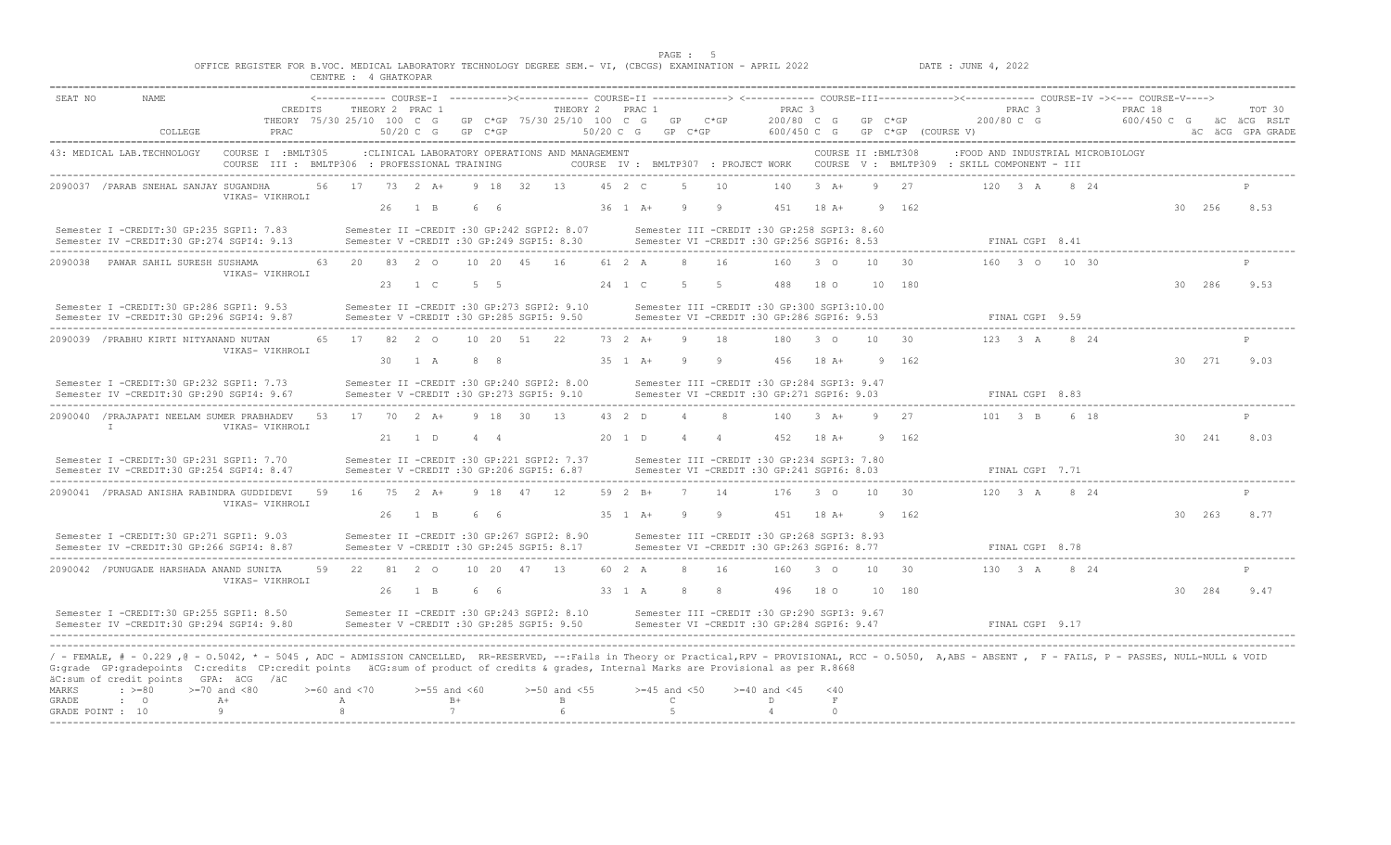|                  |                                                                                                                                                                                                                                                                                                                                                                                                   |                                                                     |                                                       | CENTRE : 4 GHATAUFAM             |    |                                                                                         |      |             |             |                                                |         |                                  |     |             |                                                                                              |                     |                 |                                |                                                                                                                      |                      |               |                        |        |                                           |
|------------------|---------------------------------------------------------------------------------------------------------------------------------------------------------------------------------------------------------------------------------------------------------------------------------------------------------------------------------------------------------------------------------------------------|---------------------------------------------------------------------|-------------------------------------------------------|----------------------------------|----|-----------------------------------------------------------------------------------------|------|-------------|-------------|------------------------------------------------|---------|----------------------------------|-----|-------------|----------------------------------------------------------------------------------------------|---------------------|-----------------|--------------------------------|----------------------------------------------------------------------------------------------------------------------|----------------------|---------------|------------------------|--------|-------------------------------------------|
| SEAT NO          | NAME                                                                                                                                                                                                                                                                                                                                                                                              |                                                                     |                                                       |                                  |    |                                                                                         |      |             |             |                                                |         |                                  |     |             |                                                                                              |                     |                 |                                |                                                                                                                      |                      |               |                        |        |                                           |
|                  | COLLEGE                                                                                                                                                                                                                                                                                                                                                                                           | PRAC                                                                | CREDITS THEORY 2 PRAC 1<br>THEORY 75/30 25/10 100 C G |                                  |    | 50/20 C G                                                                               |      | $GP$ $C*GP$ |             | THEORY 2 PRAC 1<br>GP C*GP 75/30 25/10 100 C G |         | 50/20 C G GP C*GP                |     | GP C*GP     | PRAC 3<br>200/80 C G                                                                         |                     | $GP$ $C*GP$     | 600/450 C G GP C*GP (COURSE V) |                                                                                                                      | PRAC 3<br>200/80 C G |               | PRAC 18<br>600/450 C G |        | TOT 30<br>äC äCG RSLT<br>äC äCG GPA GRADE |
|                  | 43: MEDICAL LAB. TECHNOLOGY                                                                                                                                                                                                                                                                                                                                                                       | COURSE I : BMLT305<br>COURSE III : BMLTP306 : PROFESSIONAL TRAINING |                                                       |                                  |    | : CLINICAL LABORATORY OPERATIONS AND MANAGEMENT                                         |      |             |             |                                                |         |                                  |     |             |                                                                                              | COURSE II : BMLT308 |                 |                                | :FOOD AND INDUSTRIAL MICROBIOLOGY<br>COURSE IV : BMLTP307 : PROJECT WORK COURSE V : BMLTP309 : SKILL COMPONENT - III |                      |               |                        |        |                                           |
|                  | 2090037 / PARAB SNEHAL SANJAY SUGANDHA                                                                                                                                                                                                                                                                                                                                                            |                                                                     |                                                       | 56 17 73 2 A+                    |    |                                                                                         |      |             | 9 18 32 13  |                                                | 45 2 C  |                                  | 5   | 10          | 140                                                                                          | $3 + 4$             |                 | 9 27                           |                                                                                                                      |                      | 120 3 A 8 24  |                        |        | $\mathsf{P}$                              |
|                  |                                                                                                                                                                                                                                                                                                                                                                                                   | VIKAS- VIKHROLI                                                     |                                                       |                                  | 26 | $1 \quad B$                                                                             |      | 66          |             |                                                | 36 1 A+ |                                  | - 9 | - 9         | 451                                                                                          | 18 A+               |                 | 9 162                          |                                                                                                                      |                      |               |                        | 30 256 | 8.53                                      |
|                  | Semester I -CREDIT:30 GP:235 SGPI1: 7.83<br>Semester IV -CREDIT:30 GP:274 SGPI4: 9.13                                                                                                                                                                                                                                                                                                             |                                                                     |                                                       |                                  |    | Semester II -CREDIT :30 GP:242 SGPI2: 8.07<br>Semester V -CREDIT :30 GP:249 SGPI5: 8.30 |      |             |             |                                                |         |                                  |     |             | Semester III -CREDIT :30 GP:258 SGPI3: 8.60<br>Semester VI - CREDIT :30 GP:256 SGPI6: 8.53   |                     |                 |                                |                                                                                                                      | FINAL CGPI 8.41      |               |                        |        |                                           |
|                  | 2090038 PAWAR SAHIL SURESH SUSHAMA                                                                                                                                                                                                                                                                                                                                                                | VIKAS- VIKHROLI                                                     |                                                       | 63 20 83 2 0                     |    |                                                                                         |      |             | 10 20 45 16 |                                                | 61 2 A  |                                  | 8   | 16          |                                                                                              | 160 3 0             | 10 <sup>1</sup> | 30                             |                                                                                                                      |                      | 160 3 0 10 30 |                        |        |                                           |
|                  |                                                                                                                                                                                                                                                                                                                                                                                                   |                                                                     |                                                       |                                  |    | 23 1 C                                                                                  |      | 5 5         |             |                                                | 24 1 C  |                                  | - 5 | $5^{\circ}$ | 488                                                                                          | 18 0                |                 | 10 180                         |                                                                                                                      |                      |               |                        | 30 286 | 9.53                                      |
|                  | Semester I -CREDIT:30 GP:286 SGPI1: 9.53<br>Semester IV -CREDIT:30 GP:296 SGPI4: 9.87                                                                                                                                                                                                                                                                                                             |                                                                     |                                                       |                                  |    | Semester II -CREDIT :30 GP:273 SGPI2: 9.10<br>Semester V -CREDIT :30 GP:285 SGPI5: 9.50 |      |             |             |                                                |         |                                  |     |             | Semester III -CREDIT :30 GP:300 SGPI3:10.00<br>Semester VI - CREDIT : 30 GP: 286 SGPI6: 9.53 |                     |                 |                                |                                                                                                                      | FINAL CGPI 9.59      |               |                        |        |                                           |
|                  | 2090039 / PRABHU KIRTI NITYANAND NUTAN                                                                                                                                                                                                                                                                                                                                                            |                                                                     |                                                       | 65 17 82 2 0                     |    |                                                                                         |      |             | 10 20 51 22 |                                                | 73 2 A+ |                                  | - 9 | 18          | 180                                                                                          | $\sim$ 3 0          | 10 <sup>1</sup> | 30                             |                                                                                                                      |                      | 123 3 A 8 24  |                        |        |                                           |
|                  |                                                                                                                                                                                                                                                                                                                                                                                                   | VIKAS- VIKHROLI                                                     |                                                       |                                  |    | 30 1 A                                                                                  |      | 88          |             |                                                | 35 1 A+ |                                  | - 9 | - 9         | 456                                                                                          | $18$ A+             |                 | 9 162                          |                                                                                                                      |                      |               |                        | 30 271 | 9.03                                      |
|                  | Semester I -CREDIT:30 GP:232 SGPI1: 7.73<br>Semester IV -CREDIT:30 GP:290 SGPI4: 9.67                                                                                                                                                                                                                                                                                                             |                                                                     |                                                       |                                  |    | Semester II -CREDIT :30 GP:240 SGPI2: 8.00<br>Semester V -CREDIT :30 GP:273 SGPI5: 9.10 |      |             |             |                                                |         |                                  |     |             | Semester III -CREDIT :30 GP:284 SGPI3: 9.47<br>Semester VI -CREDIT :30 GP:271 SGPI6: 9.03    |                     |                 |                                |                                                                                                                      | FINAL CGPI 8.83      |               |                        |        |                                           |
|                  | 2090040 / PRAJAPATI NEELAM SUMER PRABHADEV                                                                                                                                                                                                                                                                                                                                                        |                                                                     |                                                       |                                  |    | 53 17 70 2 A+                                                                           |      |             | 9 18 30 13  |                                                | 43 2 D  |                                  |     |             | 140                                                                                          | $3 \text{ A}+$      | $\alpha$        | 27                             |                                                                                                                      |                      | 101 3 B 6 18  |                        |        |                                           |
|                  | $\mathbb{L}$                                                                                                                                                                                                                                                                                                                                                                                      | VIKAS- VIKHROLI                                                     |                                                       |                                  |    | 21 1 D                                                                                  |      | 4 4         |             |                                                | 20 1 D  |                                  | 4 4 |             | 452                                                                                          | $18$ A+             |                 | 9 162                          |                                                                                                                      |                      |               |                        | 30 241 | 8.03                                      |
|                  | Semester I -CREDIT:30 GP:231 SGPI1: 7.70<br>Semester IV -CREDIT:30 GP:254 SGPI4: 8.47                                                                                                                                                                                                                                                                                                             |                                                                     |                                                       |                                  |    | Semester II -CREDIT :30 GP:221 SGPI2: 7.37<br>Semester V -CREDIT :30 GP:206 SGPI5: 6.87 |      |             |             |                                                |         |                                  |     |             | Semester III -CREDIT :30 GP:234 SGPI3: 7.80<br>Semester VI - CREDIT : 30 GP: 241 SGPI6: 8.03 |                     |                 |                                |                                                                                                                      | FINAL CGPI 7.71      |               |                        |        |                                           |
|                  | 2090041 / PRASAD ANISHA RABINDRA GUDDIDEVI 59                                                                                                                                                                                                                                                                                                                                                     | VIKAS- VIKHROLI                                                     |                                                       |                                  |    | 16 75 2 A+ 9 18 47 12                                                                   |      |             |             |                                                | 59 2 B+ |                                  |     | 7 14        |                                                                                              | 176 3 0             | 10              | 30                             |                                                                                                                      |                      | 120 3 A 8 24  |                        |        |                                           |
|                  |                                                                                                                                                                                                                                                                                                                                                                                                   |                                                                     |                                                       |                                  |    | 26 1 B                                                                                  |      | 66          |             |                                                | 35 1 A+ |                                  | -9  | - 9         |                                                                                              | 451 18 A+           |                 | 9 162                          |                                                                                                                      |                      |               |                        | 30 263 | 8.77                                      |
|                  | Semester I -CREDIT:30 GP:271 SGPI1: 9.03<br>Semester IV -CREDIT:30 GP:266 SGPI4: 8.87                                                                                                                                                                                                                                                                                                             |                                                                     |                                                       |                                  |    | Semester II -CREDIT :30 GP:267 SGPI2: 8.90<br>Semester V -CREDIT :30 GP:245 SGPI5: 8.17 |      |             |             |                                                |         |                                  |     |             | Semester III -CREDIT :30 GP:268 SGPI3: 8.93<br>Semester VI -CREDIT :30 GP:263 SGPI6: 8.77    |                     |                 |                                |                                                                                                                      | FINAL CGPI 8.78      |               |                        |        |                                           |
|                  | 2090042 / PUNUGADE HARSHADA ANAND SUNITA                                                                                                                                                                                                                                                                                                                                                          | VIKAS- VIKHROLI                                                     |                                                       | 59 22 81 2 0                     |    |                                                                                         |      |             | 10 20 47 13 |                                                | 60 2 A  |                                  | -8  | 16          |                                                                                              | 160 3 0             | 10              | -30                            |                                                                                                                      |                      | 130 3 A 8 24  |                        |        |                                           |
|                  |                                                                                                                                                                                                                                                                                                                                                                                                   |                                                                     |                                                       |                                  |    | 26 1 B                                                                                  |      | 66          |             |                                                | 33 1 A  |                                  | 8   | - 8         | 496                                                                                          | 18 0                |                 | 10 180                         |                                                                                                                      |                      |               |                        | 30 284 | 9.47                                      |
|                  | Semester I -CREDIT:30 GP:255 SGPI1: 8.50<br>Semester IV -CREDIT:30 GP:294 SGPI4: 9.80                                                                                                                                                                                                                                                                                                             |                                                                     |                                                       |                                  |    | Semester II -CREDIT :30 GP:243 SGPI2: 8.10<br>Semester V -CREDIT :30 GP:285 SGPI5: 9.50 |      |             |             |                                                |         |                                  |     |             | Semester III -CREDIT :30 GP:290 SGPI3: 9.67<br>Semester VI -CREDIT :30 GP:284 SGPI6: 9.47    |                     |                 |                                |                                                                                                                      | FINAL CGPI 9.17      |               |                        |        |                                           |
|                  | / - FEMALE, # - 0.229 ,@ - 0.5042, * - 5045 , ADC - ADMISSION CANCELLED, RR-RESERVED, --:Fails in Theory or Practical,RPV - PROVISIONAL, RCC - 0.5050, A,ABS - ABSENT , F - FAILS, P - PASSES, NULL-NULL & VOID<br>G:grade GP:gradepoints C:credits CP:credit points äCG:sum of product of credits & grades, Internal Marks are Provisional as per R.8668<br>äC:sum of credit points GPA: äCG /äC |                                                                     |                                                       |                                  |    |                                                                                         |      |             |             |                                                |         |                                  |     |             |                                                                                              |                     |                 |                                |                                                                                                                      |                      |               |                        |        |                                           |
| MARKS<br>GRADE   | $\div$ >=80<br>$\cdot$ 0                                                                                                                                                                                                                                                                                                                                                                          | $>=70$ and $<80$<br>$A+$                                            |                                                       | $>=60$ and $<70$<br>$\mathbb{A}$ |    | $>=55$ and $<60$                                                                        | $B+$ |             |             | $>=50$ and $<55$<br>B                          |         | $>=45$ and $<50$<br>$\mathsf{C}$ |     |             | $>= 40$ and $< 45$<br>D                                                                      | $<$ 40<br>F         |                 |                                |                                                                                                                      |                      |               |                        |        |                                           |
| GRADE POINT : 10 |                                                                                                                                                                                                                                                                                                                                                                                                   | 9                                                                   |                                                       | 8                                |    |                                                                                         | 7    |             |             |                                                |         | - 5                              |     |             | $\overline{4}$                                                                               | $\Omega$            |                 |                                |                                                                                                                      |                      |               |                        |        |                                           |

PAGE : 5<br>OFFICE REGISTER FOR B.VOC. MEDICAL LABORATORY TECHNOLOGY DEGREE SEM.- VI, (CBCGS) EXAMINATION - APRIL 2022<br>CENTRE : 4 GHATKOPAR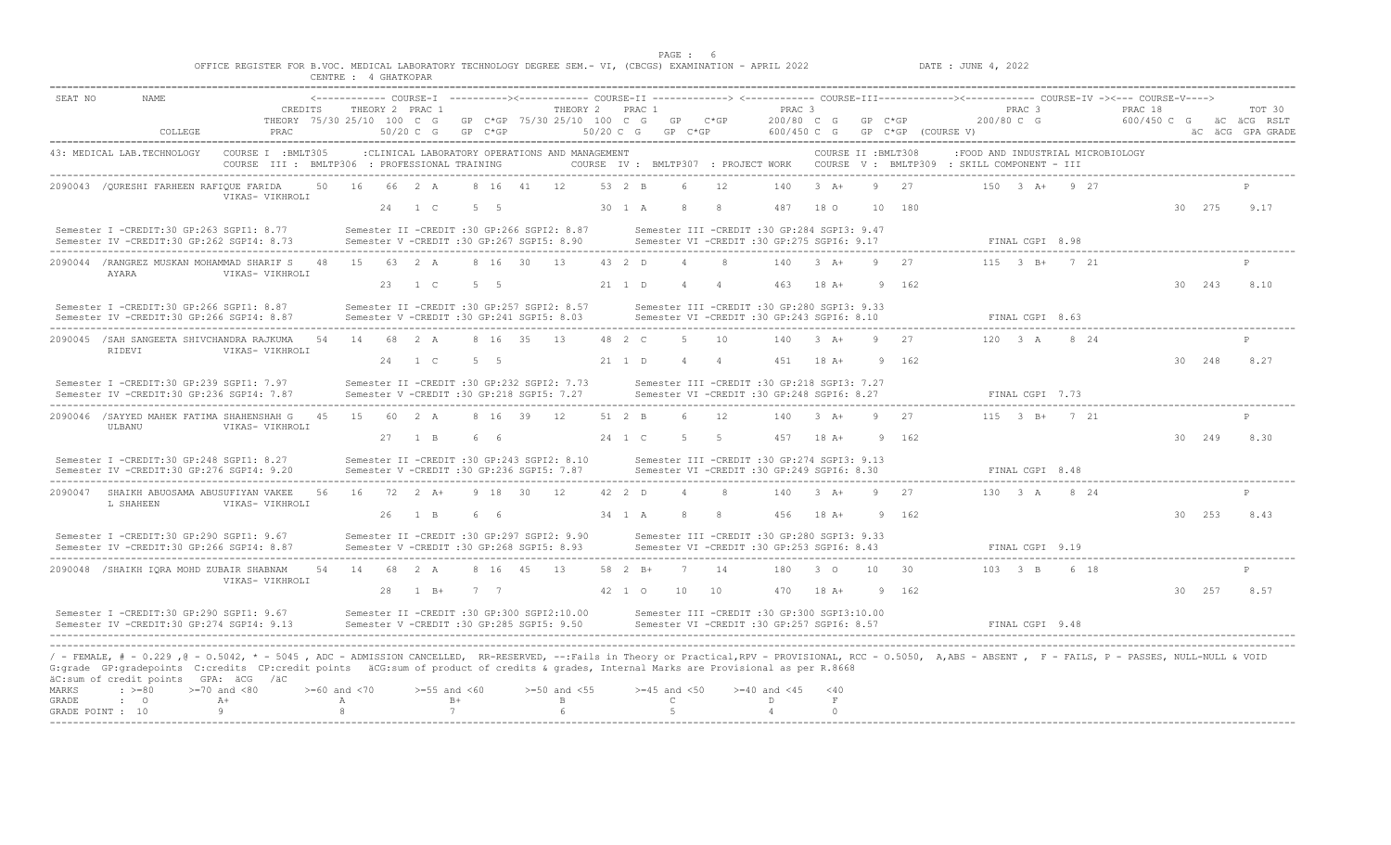|                                           |                            |         | OFFICE REGISTER FOR B.VOC. MEDICAL LABORATORY TECHNOLOGY DEGREE SEM. - VI, (CBCGS) EXAMINATION - APRIL 2022                                                                                                                                                                                                                                                                                                                              |         | CENTRE : 4 GHATKOPAR         |                                                                                                    |                     |         |            |                                                |                        | PAGE: 6                                                                                         |             |                                 |                                                |                            |                     |                    | DATE : JUNE 4, 2022                                                                                                                                         |                                 |                         |                                    |        |                            |
|-------------------------------------------|----------------------------|---------|------------------------------------------------------------------------------------------------------------------------------------------------------------------------------------------------------------------------------------------------------------------------------------------------------------------------------------------------------------------------------------------------------------------------------------------|---------|------------------------------|----------------------------------------------------------------------------------------------------|---------------------|---------|------------|------------------------------------------------|------------------------|-------------------------------------------------------------------------------------------------|-------------|---------------------------------|------------------------------------------------|----------------------------|---------------------|--------------------|-------------------------------------------------------------------------------------------------------------------------------------------------------------|---------------------------------|-------------------------|------------------------------------|--------|----------------------------|
| SEAT NO                                   | NAME                       | COLLEGE | THEORY 75/30 25/10 100 C G<br>PRAC                                                                                                                                                                                                                                                                                                                                                                                                       | CREDITS |                              | THEORY 2 PRAC 1<br>$50/20$ C G                                                                     | $GP$ $C*GP$         |         |            | THEORY 2 PRAC 1<br>GP C*GP 75/30 25/10 100 C G | $50/20$ C G            | GP<br>GP C*GP                                                                                   | $C*GP$      |                                 | PRAC <sub>3</sub><br>200/80 C G<br>600/450 C G |                            | $GP$ $C*GP$         | GP C*GP (COURSE V) | <------------- COURSE-I ----------><------------ COURSE-II -------------> <------------ COURSE-III-------------><----------- COURSE-IV -><--- COURSE-V----> | PRAC <sub>3</sub><br>200/80 C G |                         | PRAC 18<br>600/450 C G aC aCG RSLT |        | TOT 30<br>äC äCG GPA GRADE |
|                                           | 43: MEDICAL LAB.TECHNOLOGY |         | COURSE I : BMLT305<br>COURSE III : BMLTP306 : PROFESSIONAL TRAINING                                                                                                                                                                                                                                                                                                                                                                      |         |                              | :CLINICAL LABORATORY OPERATIONS AND MANAGEMENT                                                     |                     |         |            |                                                |                        |                                                                                                 |             |                                 |                                                |                            | COURSE II : BMLT308 |                    | :FOOD AND INDUSTRIAL MICROBIOLOGY<br>COURSE IV : BMLTP307 : PROJECT WORK COURSE V : BMLTP309 : SKILL COMPONENT - III                                        |                                 |                         |                                    |        |                            |
|                                           |                            |         | 2090043 / QURESHI FARHEEN RAFIQUE FARIDA<br>VIKAS- VIKHROLI                                                                                                                                                                                                                                                                                                                                                                              | 50      | 16                           | 66 2 A<br>$24 \t 1 C$                                                                              | 8 16<br>$5 \quad 5$ |         | 41         | 12                                             | 53 $2$ B<br>30 1 A     | $\epsilon$                                                                                      |             | 12<br>-8                        | 140<br>487                                     | $3+A+$<br>18 O             |                     | 27<br>10 180       |                                                                                                                                                             |                                 | $150$ $3$ $A+$ $9$ $27$ |                                    | 30 275 | 9.17                       |
|                                           |                            |         | Semester I -CREDIT:30 GP:263 SGPI1: 8.77<br>Semester IV -CREDIT:30 GP:262 SGPI4: 8.73                                                                                                                                                                                                                                                                                                                                                    |         |                              | Semester II -CREDIT :30 GP:266 SGPI2: 8.87<br>Semester V -CREDIT :30 GP:267 SGPI5: 8.90            |                     |         |            |                                                |                        | Semester III -CREDIT :30 GP:284 SGPI3: 9.47<br>Semester VI -CREDIT :30 GP:275 SGPI6: 9.17       |             |                                 |                                                |                            |                     |                    |                                                                                                                                                             | FINAL CGPI 8.98                 |                         |                                    |        |                            |
|                                           | AYARA                      |         | 2090044 /RANGREZ MUSKAN MOHAMMAD SHARIF S<br>VIKAS- VIKHROLI                                                                                                                                                                                                                                                                                                                                                                             | 48      | 15 63 2 A                    | 23 1 C                                                                                             | 5 5                 |         | 8 16 30 13 |                                                | $43 \t2 \tD$<br>21 1 D | $\Delta$<br>$\overline{4}$                                                                      |             | $\mathcal{R}$<br>$\overline{4}$ | 140<br>463                                     | $3+A+$<br>$18A+$           | 9                   | 27<br>162          |                                                                                                                                                             |                                 | $115$ $3$ $B+$ $7$ $21$ |                                    | 30 243 | 8.10                       |
|                                           |                            |         | Semester I -CREDIT:30 GP:266 SGPI1: 8.87<br>Semester IV -CREDIT:30 GP:266 SGPI4: 8.87                                                                                                                                                                                                                                                                                                                                                    |         |                              | Semester II -CREDIT :30 GP:257 SGPI2: 8.57<br>Semester V -CREDIT :30 GP:241 SGPI5: 8.03            |                     |         |            |                                                |                        | Semester III -CREDIT :30 GP:280 SGPI3: 9.33<br>Semester VI -CREDIT :30 GP:243 SGPI6: 8.10       |             |                                 |                                                |                            |                     |                    |                                                                                                                                                             | FINAL CGPI 8.63                 |                         |                                    |        |                            |
|                                           | RIDEVI                     |         | 2090045 / SAH SANGEETA SHIVCHANDRA RAJKUMA<br>VIKAS- VIKHROLI                                                                                                                                                                                                                                                                                                                                                                            | 54      | 14                           | 68 2 A<br>24 1 C                                                                                   | 5 5                 | 8 16 35 |            | 13                                             | 48 2 C<br>21 1 D       | - 5                                                                                             | 4 4         | 10                              | 140<br>451                                     | $3 + 4$<br>$18A+$          | Q                   | 27<br>9 162        |                                                                                                                                                             | 120 3 A                         | 8 24                    |                                    | 30 248 | $\mathbb{D}$<br>8.27       |
|                                           |                            |         | Semester I -CREDIT:30 GP:239 SGPI1: 7.97<br>Semester IV -CREDIT:30 GP:236 SGPI4: 7.87                                                                                                                                                                                                                                                                                                                                                    |         |                              | Semester II -CREDIT :30 GP:232 SGPI2: 7.73<br>Semester V -CREDIT :30 GP:218 SGPI5: 7.27            |                     |         |            |                                                |                        | Semester III -CREDIT :30 GP:218 SGPI3: 7.27<br>Semester VI -CREDIT :30 GP:248 SGPI6: 8.27       |             |                                 |                                                |                            |                     |                    |                                                                                                                                                             | FINAL CGPI 7.73                 |                         |                                    |        |                            |
|                                           | ULBANU                     |         | 2090046 /SAYYED MAHEK FATIMA SHAHENSHAH G<br>VIKAS- VIKHROLI                                                                                                                                                                                                                                                                                                                                                                             | 45      |                              | 15 60 2 A<br>27 1 B                                                                                | 6 6                 | 8 16 39 |            | 12                                             | 51 2 B<br>24 1 C       | $6^{\circ}$<br>5                                                                                | $5^{\circ}$ | 12                              | 140<br>457                                     | $3+A+$<br>$18$ A+          |                     | 27<br>9 162        |                                                                                                                                                             |                                 | $115 \t3 B+721$         |                                    | 30 249 | 8.30                       |
|                                           |                            |         | Semester I -CREDIT:30 GP:248 SGPI1: 8.27<br>Semester IV -CREDIT:30 GP:276 SGPI4: 9.20                                                                                                                                                                                                                                                                                                                                                    |         |                              | Semester II -CREDIT :30 GP:243 SGPI2: 8.10<br>Semester V -CREDIT :30 GP:236 SGPI5: 7.87            |                     |         |            |                                                |                        | Semester III -CREDIT :30 GP:274 SGPI3: 9.13<br>Semester VI -CREDIT :30 GP:249 SGPI6: 8.30       |             |                                 |                                                |                            |                     |                    |                                                                                                                                                             | FINAL CGPI 8.48                 |                         |                                    |        |                            |
|                                           | L SHAHEEN                  |         | 2090047 SHAIKH ABUOSAMA ABUSUFIYAN VAKEE<br>VIKAS- VIKHROLI                                                                                                                                                                                                                                                                                                                                                                              | 56      | 16                           | $72 \t2 \t3+$                                                                                      |                     | 9 18 30 |            | 12                                             | $42 \t2 \tD$           |                                                                                                 |             |                                 | 140                                            | $3 + 4$                    | Q                   | 27                 |                                                                                                                                                             | $130 \t3 \tA$                   | 8 24                    |                                    |        |                            |
|                                           |                            |         | Semester I -CREDIT:30 GP:290 SGPI1: 9.67<br>Semester IV -CREDIT:30 GP:266 SGPI4: 8.87                                                                                                                                                                                                                                                                                                                                                    |         |                              | 26 1 B<br>Semester II -CREDIT :30 GP:297 SGPI2: 9.90<br>Semester V -CREDIT :30 GP:268 SGPI5: 8.93  | 66                  |         |            |                                                | 34 1 A                 | -8<br>Semester III -CREDIT :30 GP:280 SGPI3: 9.33<br>Semester VI -CREDIT :30 GP:253 SGPI6: 8.43 |             | - 8                             | 456                                            | 18 A+                      |                     | 9 162              |                                                                                                                                                             | FINAL CGPI 9.19                 |                         |                                    | 30 253 | 8.43                       |
|                                           |                            |         | 2090048 /SHAIKH IORA MOHD ZUBAIR SHABNAM<br>VIKAS- VIKHROLI                                                                                                                                                                                                                                                                                                                                                                              | 54      | 14                           | 68 2 A                                                                                             |                     |         | 8 16 45 13 |                                                | 58 2 B+                | $\overline{7}$                                                                                  |             | 14                              | 180                                            | $3^{\circ}$                | 10 <sup>°</sup>     | 30                 |                                                                                                                                                             | 103 3 B                         | 6 18                    |                                    |        | $\mathbf{p}$               |
|                                           |                            |         | Semester I -CREDIT:30 GP:290 SGPI1: 9.67<br>Semester IV -CREDIT:30 GP:274 SGPI4: 9.13                                                                                                                                                                                                                                                                                                                                                    |         |                              | 28 1 B+<br>Semester II -CREDIT :30 GP:300 SGPI2:10.00<br>Semester V -CREDIT :30 GP:285 SGPI5: 9.50 | 7 7                 |         |            |                                                | 42 1 0                 | 10<br>Semester III -CREDIT :30 GP:300 SGPI3:10.00<br>Semester VI -CREDIT :30 GP:257 SGPT6: 8.57 |             | 10                              | 470                                            | 18 A+                      |                     | 9 162              |                                                                                                                                                             | FINAL CGPI 9.48                 |                         |                                    | 30 257 | 8.57                       |
| <b>MARKS</b><br>GRADE<br>GRADE POINT : 10 | $\div$ >=80<br>$\cdot$ 0   |         | / - FEMALE, # - 0.229 ,@ - 0.5042, * - 5045 , ADC - ADMISSION CANCELLED, RR-RESERVED, --:Fails in Theory or Practical,RPV - PROVISIONAL, RCC - 0.5050, A,ABS - ABSENT , F - FAILS, P - PASSES, NULL-NULL & VOID<br>G: grade GP: gradepoints C: credits CP: credit points äCG: sum of product of credits & grades, Internal Marks are Provisional as per R. 8668<br>äC:sum of credit points GPA: äCG /äC<br>$>=70$ and $<80$<br>$A+$<br>9 |         | $>= 60$ and $< 70$<br>А<br>8 | $>=55$ and $<60$                                                                                   | $B+$<br>7           |         |            | $>=50$ and $<55$<br>B                          |                        | $>=45$ and $<50$<br>$\mathbb{C}$<br>-5                                                          |             |                                 | $>= 40$ and $< 45$<br>D<br>$\overline{4}$      | < 40<br>$\,$ F<br>$\Omega$ |                     |                    |                                                                                                                                                             |                                 |                         |                                    |        |                            |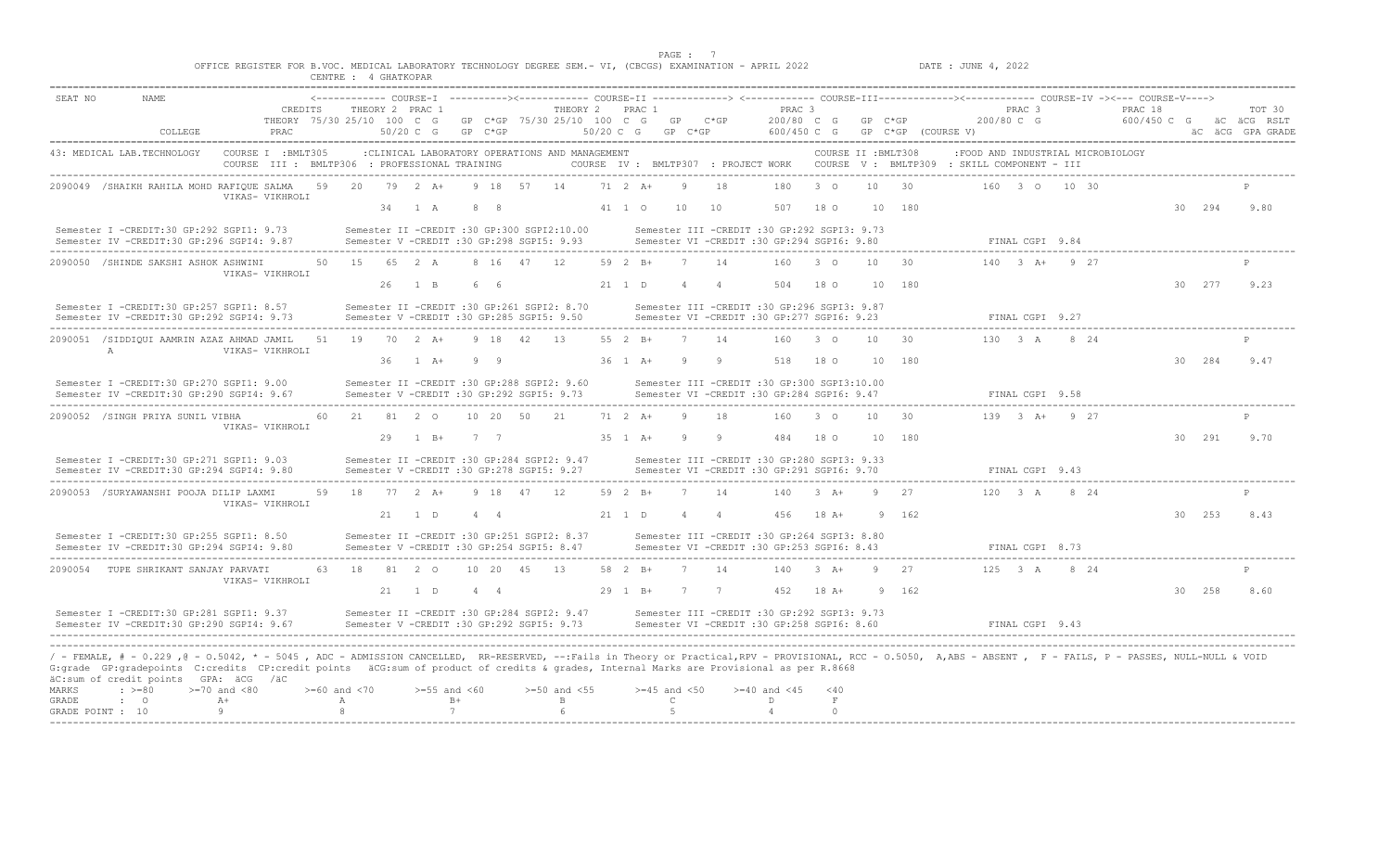|                                                                                                            | PAGE |                     |
|------------------------------------------------------------------------------------------------------------|------|---------------------|
| OFFICE REGISTER FOR B.VOC. MEDICAL LABORATORY TECHNOLOGY DEGREE SEM.- VI, (CBCGS) EXAMINATION - APRIL 2022 |      | DATE : JUNE 4, 2022 |
| CENTRE : 4 GHATKOPAR                                                                                       |      |                     |

| SEAT NO        | NAME.                                                                                                                                                                                                                                                                                                                                                     |                                               |                       |              |     |                                  |                 |                  |            |                                                                                         |           |                       |                                  |             |                |                                                                                              |                                |                     |        |                                                                               |                                |      | <------------- COURSE-I ----------><------------ COURSE-II -------------> <------------ COURSE-III-------------><----------- COURSE-IV -><--- COURSE-V----> |        |                  |
|----------------|-----------------------------------------------------------------------------------------------------------------------------------------------------------------------------------------------------------------------------------------------------------------------------------------------------------------------------------------------------------|-----------------------------------------------|-----------------------|--------------|-----|----------------------------------|-----------------|------------------|------------|-----------------------------------------------------------------------------------------|-----------|-----------------------|----------------------------------|-------------|----------------|----------------------------------------------------------------------------------------------|--------------------------------|---------------------|--------|-------------------------------------------------------------------------------|--------------------------------|------|-------------------------------------------------------------------------------------------------------------------------------------------------------------|--------|------------------|
|                |                                                                                                                                                                                                                                                                                                                                                           | CREDITS<br>THEORY 75/30 25/10 100 C G         |                       |              |     | THEORY 2 PRAC 1                  |                 |                  |            | THEORY 2<br>GP C*GP 75/30 25/10 100 C G GP C*GP                                         |           | PRAC 1                |                                  |             |                | PRAC <sub>3</sub>                                                                            | 200/80 C G GP C*GP             |                     |        | 200/80 C G                                                                    | PRAC <sub>3</sub>              |      | PRAC 18<br>600/450 C G aC aCG RSLT                                                                                                                          |        | TOT 30           |
|                | COLLEGE                                                                                                                                                                                                                                                                                                                                                   | PRAC                                          |                       |              |     | 50/20 C G                        |                 | $GP$ $C*GP$      |            |                                                                                         | 50/20 C G |                       |                                  | $GP$ $C*GP$ |                |                                                                                              | 600/450 C G GP C*GP (COURSE V) |                     |        |                                                                               |                                |      |                                                                                                                                                             |        | äC äCG GPA GRADE |
|                | 43: MEDICAL LAB. TECHNOLOGY                                                                                                                                                                                                                                                                                                                               | COURSE I : BMLT305                            |                       |              |     |                                  |                 |                  |            | :CLINICAL LABORATORY OPERATIONS AND MANAGEMENT                                          |           |                       |                                  |             |                |                                                                                              |                                | COURSE II : BMLT308 |        | :FOOD AND INDUSTRIAL MICROBIOLOGY                                             |                                |      |                                                                                                                                                             |        |                  |
|                |                                                                                                                                                                                                                                                                                                                                                           | COURSE III : BMLTP306 : PROFESSIONAL TRAINING |                       |              |     |                                  |                 |                  |            |                                                                                         |           |                       |                                  |             |                |                                                                                              |                                |                     |        | COURSE IV: BMLTP307 : PROJECT WORK COURSE V: BMLTP309 : SKILL COMPONENT - III |                                |      |                                                                                                                                                             |        |                  |
|                | 2090049 /SHAIKH RAHILA MOHD RAFIQUE SALMA 59                                                                                                                                                                                                                                                                                                              |                                               |                       | 20           |     | 79 2 A+                          |                 |                  | 9 18 57 14 |                                                                                         |           | $71 \t2 \tA+$         |                                  |             | 18             | 180                                                                                          | $3^{\circ}$ 0                  | 10                  | 30     |                                                                               | 160 3 0 10 30                  |      |                                                                                                                                                             |        |                  |
|                |                                                                                                                                                                                                                                                                                                                                                           | VIKAS- VIKHROLI                               |                       |              |     | 34 1 A                           |                 | $8 \overline{8}$ |            |                                                                                         |           | 41 1 0                |                                  | 10          | 10             | 507                                                                                          | 18 O                           |                     | 10 180 |                                                                               |                                |      |                                                                                                                                                             | 30 294 | 9.80             |
|                |                                                                                                                                                                                                                                                                                                                                                           |                                               |                       |              |     |                                  |                 |                  |            |                                                                                         |           |                       |                                  |             |                |                                                                                              |                                |                     |        |                                                                               |                                |      |                                                                                                                                                             |        |                  |
|                | Semester I -CREDIT:30 GP:292 SGPI1: 9.73<br>Semester IV -CREDIT:30 GP:296 SGPI4: 9.87                                                                                                                                                                                                                                                                     |                                               |                       |              |     |                                  |                 |                  |            | Semester II -CREDIT :30 GP:300 SGPI2:10.00<br>Semester V -CREDIT :30 GP:298 SGPI5: 9.93 |           |                       |                                  |             |                | Semester III -CREDIT :30 GP:292 SGPI3: 9.73<br>Semester VI -CREDIT :30 GP:294 SGPI6: 9.80    |                                |                     |        |                                                                               | FINAL CGPI 9.84                |      |                                                                                                                                                             |        |                  |
|                |                                                                                                                                                                                                                                                                                                                                                           |                                               |                       |              |     |                                  |                 |                  |            |                                                                                         |           | $59 \t 7 \t R+$       |                                  |             | 14             |                                                                                              | $\overline{3}$ 0               | 10                  | 30     |                                                                               | $140$ $3$ $\lambda +$ $9$ $27$ |      |                                                                                                                                                             |        |                  |
|                | 2090050 /SHINDE SAKSHI ASHOK ASHWINI                                                                                                                                                                                                                                                                                                                      | VIKAS- VIKHROLI                               |                       | 50 15 65 2 A |     |                                  |                 | 8 16 47          |            | 12                                                                                      |           |                       |                                  |             |                | 160                                                                                          |                                |                     |        |                                                                               |                                |      |                                                                                                                                                             |        |                  |
|                |                                                                                                                                                                                                                                                                                                                                                           |                                               |                       |              | 26  | $1 \quad B$                      |                 | 6 6              |            |                                                                                         |           | 21 1 D                |                                  |             | $\overline{4}$ | 504                                                                                          | 18 0                           |                     | 10 180 |                                                                               |                                |      |                                                                                                                                                             | 30 277 | 9.23             |
|                | Semester I -CREDIT:30 GP:257 SGPI1: 8.57                                                                                                                                                                                                                                                                                                                  |                                               |                       |              |     |                                  |                 |                  |            | Semester II -CREDIT :30 GP:261 SGPI2: 8.70                                              |           |                       |                                  |             |                | Semester III -CREDIT :30 GP:296 SGPI3: 9.87                                                  |                                |                     |        |                                                                               |                                |      |                                                                                                                                                             |        |                  |
|                | Semester IV -CREDIT:30 GP:292 SGPI4: 9.73                                                                                                                                                                                                                                                                                                                 |                                               |                       |              |     |                                  |                 |                  |            | Semester V -CREDIT :30 GP:285 SGPI5: 9.50                                               |           |                       |                                  |             |                | Semester VI - CREDIT :30 GP:277 SGPI6: 9.23                                                  |                                |                     |        |                                                                               | FINAL CGPI 9.27                |      |                                                                                                                                                             |        |                  |
|                | 2090051 /SIDDIOUI AAMRIN AZAZ AHMAD JAMIL                                                                                                                                                                                                                                                                                                                 |                                               | 51                    |              |     | 19 70 2 A+                       |                 | 9 18 42          |            | 13                                                                                      |           | 55 2 B+               |                                  |             | 14             |                                                                                              | 160 3 0                        | 10                  | 30     |                                                                               | 130 3 A                        | 8 24 |                                                                                                                                                             |        |                  |
|                | $\mathbb{A}$                                                                                                                                                                                                                                                                                                                                              | VIKAS- VIKHROLI                               |                       |              | 36  | $1 \quad A+$                     |                 | 99               |            |                                                                                         |           | 36 1 A+               |                                  |             |                | 518                                                                                          | 18 0                           |                     | 10 180 |                                                                               |                                |      |                                                                                                                                                             | 30 284 | 9.47             |
|                | Semester I -CREDIT:30 GP:270 SGPI1: 9.00                                                                                                                                                                                                                                                                                                                  |                                               |                       |              |     |                                  |                 |                  |            | Semester II -CREDIT :30 GP:288 SGPI2: 9.60                                              |           |                       |                                  |             |                | Semester III -CREDIT :30 GP:300 SGPI3:10.00                                                  |                                |                     |        |                                                                               |                                |      |                                                                                                                                                             |        |                  |
|                | Semester IV -CREDIT:30 GP:290 SGPI4: 9.67                                                                                                                                                                                                                                                                                                                 |                                               |                       |              |     |                                  |                 |                  |            | Semester V -CREDIT :30 GP:292 SGPI5: 9.73                                               |           |                       |                                  |             |                | Semester VI -CREDIT :30 GP:284 SGPI6: 9.47                                                   |                                |                     |        |                                                                               | FINAL CGPI 9.58                |      |                                                                                                                                                             |        |                  |
|                | 2090052 /SINGH PRIYA SUNIL VIBHA                                                                                                                                                                                                                                                                                                                          |                                               |                       |              |     | 60  21  81  2  0  10  20  50  21 |                 |                  |            |                                                                                         |           | 71 2 A+               |                                  | $\alpha$    | 18             |                                                                                              | 160 3 0                        | 10                  | -30    |                                                                               | $139$ $3$ $\lambda +$ $9$ $27$ |      |                                                                                                                                                             |        |                  |
|                |                                                                                                                                                                                                                                                                                                                                                           | VIKAS- VIKHROLI                               |                       |              | 29  | $1 \quad B+$                     |                 | 7 7              |            |                                                                                         |           | $35 \t1 \tA+$         |                                  |             | <sup>9</sup>   | 484                                                                                          | 18 O                           |                     | 10 180 |                                                                               |                                |      |                                                                                                                                                             | 30 291 | 9.70             |
|                |                                                                                                                                                                                                                                                                                                                                                           |                                               |                       |              |     |                                  |                 |                  |            |                                                                                         |           |                       |                                  |             |                |                                                                                              |                                |                     |        |                                                                               |                                |      |                                                                                                                                                             |        |                  |
|                | Semester I -CREDIT:30 GP:271 SGPI1: 9.03<br>Semester IV -CREDIT:30 GP:294 SGPI4: 9.80                                                                                                                                                                                                                                                                     |                                               |                       |              |     |                                  |                 |                  |            | Semester II -CREDIT :30 GP:284 SGPI2: 9.47<br>Semester V -CREDIT :30 GP:278 SGPI5: 9.27 |           |                       |                                  |             |                | Semester III -CREDIT :30 GP:280 SGPI3: 9.33<br>Semester VI - CREDIT : 30 GP: 291 SGPI6: 9.70 |                                |                     |        |                                                                               | FINAL CGPI 9.43                |      |                                                                                                                                                             |        |                  |
|                |                                                                                                                                                                                                                                                                                                                                                           |                                               |                       |              |     |                                  |                 |                  |            |                                                                                         |           |                       |                                  | 7           |                |                                                                                              |                                | 9                   |        |                                                                               |                                |      |                                                                                                                                                             |        |                  |
|                | 2090053 /SURYAWANSHI POOJA DILIP LAXMI                                                                                                                                                                                                                                                                                                                    | VIKAS- VIKHROLI                               | 59                    |              |     | 18 77 2 A+                       |                 |                  | 9 18 47 12 |                                                                                         |           | 59 2 B+               |                                  |             | 14             |                                                                                              | $140$ 3 A+                     |                     | 27     |                                                                               | 120 3 A 8 24                   |      |                                                                                                                                                             |        |                  |
|                |                                                                                                                                                                                                                                                                                                                                                           |                                               |                       |              |     | 21 1 D                           |                 | 4 4              |            |                                                                                         |           | 21 1 D                |                                  |             | $\overline{4}$ | 456                                                                                          | $18A+$                         |                     | 9 162  |                                                                               |                                |      |                                                                                                                                                             | 30 253 | 8.43             |
|                | Semester I -CREDIT:30 GP:255 SGPI1: 8.50                                                                                                                                                                                                                                                                                                                  |                                               |                       |              |     |                                  |                 |                  |            | Semester II -CREDIT :30 GP:251 SGPI2: 8.37                                              |           |                       |                                  |             |                | Semester III -CREDIT :30 GP:264 SGPI3: 8.80                                                  |                                |                     |        |                                                                               |                                |      |                                                                                                                                                             |        |                  |
|                | Semester IV - CREDIT: 30 GP: 294 SGPI4: 9.80                                                                                                                                                                                                                                                                                                              |                                               |                       |              |     |                                  |                 |                  |            | Semester V - CREDIT : 30 GP: 254 SGPI5: 8.47                                            |           |                       |                                  |             |                | Semester VI - CREDIT : 30 GP: 253 SGPI6: 8.43                                                |                                |                     |        |                                                                               | FINAL CGPI 8.73                |      |                                                                                                                                                             |        |                  |
|                | 2090054 TUPE SHRIKANT SANJAY PARVATI                                                                                                                                                                                                                                                                                                                      |                                               |                       | 63 18 81 2 0 |     |                                  |                 | 10 20 45         |            | 13                                                                                      |           | 58 2 B+               |                                  |             | 14             | 140                                                                                          | $3 \text{ A}+$                 | -9                  | 27     |                                                                               | 125 3 A                        | 8 24 |                                                                                                                                                             |        |                  |
|                |                                                                                                                                                                                                                                                                                                                                                           | VIKAS- VIKHROLI                               |                       |              | -21 | 1 D                              |                 | 444              |            |                                                                                         |           | $29 \quad 1 \quad B+$ |                                  | 7           | 7              | 452                                                                                          | 18 A+                          |                     | 9 162  |                                                                               |                                |      |                                                                                                                                                             | 30 258 | 8.60             |
|                | Semester I -CREDIT:30 GP:281 SGPI1: 9.37                                                                                                                                                                                                                                                                                                                  |                                               |                       |              |     |                                  |                 |                  |            | Semester II -CREDIT :30 GP:284 SGPI2: 9.47                                              |           |                       |                                  |             |                | Semester III -CREDIT :30 GP:292 SGPI3: 9.73                                                  |                                |                     |        |                                                                               |                                |      |                                                                                                                                                             |        |                  |
|                | Semester IV -CREDIT:30 GP:290 SGPI4: 9.67                                                                                                                                                                                                                                                                                                                 |                                               |                       |              |     |                                  |                 |                  |            | Semester V -CREDIT :30 GP:292 SGPI5: 9.73                                               |           |                       |                                  |             |                | Semester VI -CREDIT :30 GP:258 SGPI6: 8.60                                                   |                                |                     |        |                                                                               | FINAL CGPI 9.43                |      |                                                                                                                                                             |        |                  |
|                |                                                                                                                                                                                                                                                                                                                                                           |                                               |                       |              |     |                                  |                 |                  |            |                                                                                         |           |                       |                                  |             |                |                                                                                              |                                |                     |        |                                                                               |                                |      |                                                                                                                                                             |        |                  |
|                | / - FEMALE, # - 0.229 ,@ - 0.5042, * - 5045 , ADC - ADMISSION CANCELLED, RR-RESERVED, --:Fails in Theory or Practical,RPV - PROVISIONAL, RCC - 0.5050, A,ABS - ABSENT , F - FAILS, P - PASSES, NULL-NULL & VOID<br>G:grade GP:gradepoints C:credits CP:credit points äCG:sum of product of credits & grades, Internal Marks are Provisional as per R.8668 |                                               |                       |              |     |                                  |                 |                  |            |                                                                                         |           |                       |                                  |             |                |                                                                                              |                                |                     |        |                                                                               |                                |      |                                                                                                                                                             |        |                  |
|                | äC:sum of credit points GPA: äCG /äC                                                                                                                                                                                                                                                                                                                      |                                               |                       |              |     |                                  |                 |                  |            |                                                                                         |           |                       |                                  |             |                |                                                                                              |                                |                     |        |                                                                               |                                |      |                                                                                                                                                             |        |                  |
| MARKS<br>GRADE | $: >=80$<br>$\cdot$ 0                                                                                                                                                                                                                                                                                                                                     | $>=70$ and $<80$<br>$A+$                      | $>=60$ and $<70$<br>Α |              |     | $>=55$ and $<60$                 | $B+$            |                  |            | $>=50$ and $<55$<br>B                                                                   |           |                       | $>=45$ and $<50$<br>$\mathsf{C}$ |             |                | $>= 40$ and $< 45$<br>D                                                                      | < 40<br>$\;$ F                 |                     |        |                                                                               |                                |      |                                                                                                                                                             |        |                  |
|                | GRADE POINT : 10                                                                                                                                                                                                                                                                                                                                          | Q                                             |                       |              |     |                                  | $7\overline{ }$ |                  |            |                                                                                         |           |                       | -5                               |             |                | $\overline{4}$                                                                               | $\cap$                         |                     |        |                                                                               |                                |      |                                                                                                                                                             |        |                  |
|                |                                                                                                                                                                                                                                                                                                                                                           |                                               |                       |              |     |                                  |                 |                  |            |                                                                                         |           |                       |                                  |             |                |                                                                                              |                                |                     |        |                                                                               |                                |      |                                                                                                                                                             |        |                  |